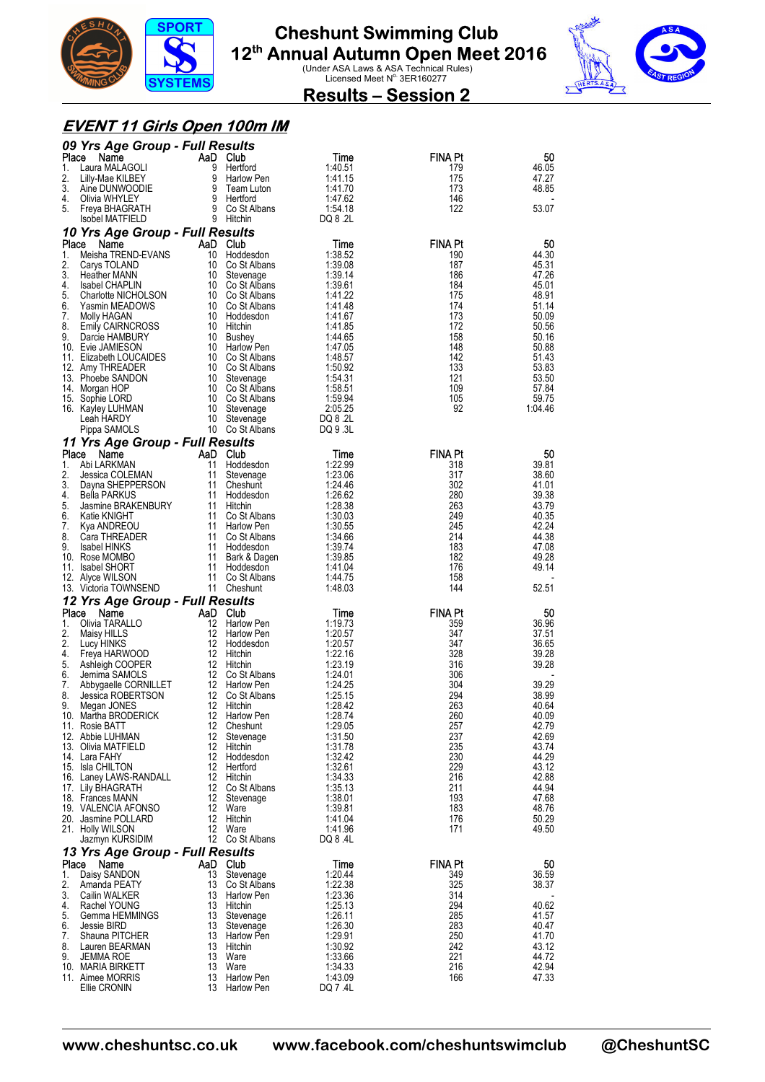



### **Results – Session 2**

#### **EVENT 11 Girls Open 100m IM**

|             | 09 Yrs Age Group - Full Results            |                |                                    |                         |                       |                |
|-------------|--------------------------------------------|----------------|------------------------------------|-------------------------|-----------------------|----------------|
| Place<br>1. | Name<br>Laura MALAGOLI                     | AaD Club       | 9 Hertford                         | Time<br>1:40.51         | <b>FINA Pt</b><br>179 | 50<br>46.05    |
| 2.          | Lilly-Mae KILBEY                           |                | 9 Harlow Pen                       | 1:41.15                 | 175                   | 47.27          |
| 3.          | Aine DUNWOODIE                             | 9              | Team Luton                         | 1:41.70                 | 173                   | 48.85          |
| 4.<br>5.    | Olivia WHYLEY<br>Freya BHAGRATH            |                | 9 Hertford<br>9 Co St Albans       | 1:47.62<br>1:54.18      | 146<br>122            | 53.07          |
|             | <b>Isobel MATFIELD</b>                     |                | 9 Hitchin                          | DQ 8 .2L                |                       |                |
|             | 10 Yrs Age Group - Full Results            |                |                                    |                         |                       |                |
| Place       | Name                                       | AaD Club       |                                    | Time                    | <b>FINA Pt</b>        | 50             |
| 1.<br>2.    | Meisha TREND-EVANS<br>Carys TOLAND         | 10<br>10       | Hoddesdon<br>Co St Albans          | 1:38.52<br>1:39.08      | 190<br>187            | 44.30<br>45.31 |
| 3.          | <b>Heather MANN</b>                        | 10             | Stevenage                          | 1:39.14                 | 186                   | 47.26          |
| 4.          | <b>Isabel CHAPLIN</b>                      |                | 10 Co St Albans                    | 1:39.61                 | 184                   | 45.01          |
| 5.<br>6.    | Charlotte NICHOLSON<br>Yasmin MEADOWS      |                | 10 Co St Albans<br>10 Co St Albans | 1:41.22<br>1:41.48      | 175<br>174            | 48.91<br>51.14 |
| 7.          | Molly HAGAN                                |                | 10 Hoddesdon                       | 1:41.67                 | 173                   | 50.09          |
| 8.          | <b>Emily CAIRNCROSS</b>                    |                | 10 Hitchin                         | 1:41.85                 | 172                   | 50.56          |
| 9.          | Darcie HAMBURY<br>10. Evie JAMIESON        | 10             | <b>Bushey</b><br>10 Harlow Pen     | 1:44.65<br>1:47.05      | 158<br>148            | 50.16<br>50.88 |
|             | 11. Elizabeth LOUCAIDES                    |                | 10 Co St Albans                    | 1:48.57                 | 142                   | 51.43          |
|             | 12. Amy THREADER                           |                | 10 Co St Albans                    | 1:50.92                 | 133                   | 53.83          |
|             | 13. Phoebe SANDON<br>14. Morgan HOP        |                | 10 Stevenage<br>10 Co St Albans    | 1:54.31<br>1:58.51      | 121<br>109            | 53.50<br>57.84 |
|             | 15. Sophie LORD                            |                | 10 Co St Albans                    | 1:59.94                 | 105                   | 59.75          |
|             | 16. Kayley LUHMAN                          | 10             | Stevenage                          | 2:05.25                 | 92                    | 1:04.46        |
|             | Leah HARDY<br>Pippa SAMOLS                 | 10             | Stevenage<br>10 Co St Albans       | DQ 8 .2L<br>DQ 9 .3L    |                       |                |
|             | 11 Yrs Age Group - Full Results            |                |                                    |                         |                       |                |
| Place       | Name                                       | AaD Club       |                                    | Time                    | <b>FINA Pt</b>        | 50             |
| 1.          | Abi LARKMAN                                | 11             | Hoddesdon                          | 1:22.99                 | 318                   | 39.81          |
| 2.<br>3.    | Jessica COLEMAN<br>Dayna SHEPPERSON        | 11<br>11       | Stevenage<br>Cheshunt              | 1:23.06<br>1:24.46      | 317<br>302            | 38.60<br>41.01 |
| 4.          | Bella PARKUS                               | 11             | Hoddesdon                          | 1:26.62                 | 280                   | 39.38          |
| 5.          | Jasmine BRAKENBURY                         |                | 11 Hitchin                         | 1:28.38                 | 263                   | 43.79          |
| 6.<br>7.    | Katie KNIGHT<br>Kya ANDREOU                |                | 11 Co St Albans<br>11 Harlow Pen   | 1:30.03<br>1:30.55      | 249<br>245            | 40.35<br>42.24 |
| 8.          | Cara THREADER                              | 11             | Co St Albans                       | 1:34.66                 | 214                   | 44.38          |
| 9.          | <b>Isabel HINKS</b><br>10. Rose MOMBO      | 11             | 11 Hoddesdon<br>Bark & Dagen       | 1:39.74<br>1:39.85      | 183<br>182            | 47.08<br>49.28 |
|             |                                            |                |                                    |                         |                       |                |
|             |                                            |                |                                    |                         |                       |                |
|             | 11. Isabel SHORT<br>12. Alyce WILSON       | 11<br>11       | Hoddesdon<br>Co St Albans          | 1:41.04<br>1:44.75      | 176<br>158            | 49.14          |
|             | 13. Victoria TOWNSEND                      |                | 11 Cheshunt                        | 1.48.03                 | 144                   | 52.51          |
|             | 12 Yrs Age Group - Full Results            |                |                                    |                         |                       |                |
| Place<br>1. | Name<br>Olivia TARALLO                     | AaD Club<br>12 | Harlow Pen                         | <b>l</b> ime<br>1:19.73 | <b>FINA Pt</b><br>359 | 50<br>36.96    |
| 2.          | Maisy HILLS                                | 12             | <b>Harlow Pen</b>                  | 1:20.57                 | 347                   | 37.51          |
| 2.          | Lucy HINKS                                 | 12             | Hoddesdon                          | 1:20.57                 | 347                   | 36.65          |
| 4.<br>5.    | Freya HARWOOD<br>Ashleigh COOPER           |                | 12 Hitchin<br>12 Hitchin           | 1:22.16<br>1:23.19      | 328<br>316            | 39.28<br>39.28 |
| 6.          | Jemima SAMOLS                              |                | 12 Co St Albans                    | 1:24.01                 | 306                   |                |
| 7.          | Abbygaelle CORNILLET                       |                | 12 Harlow Pen                      | 1:24.25                 | 304                   | 39.29          |
| 8.<br>9.    | Jessica ROBERTSON<br>Megan JONES           | 12<br>12       | Co St Albans<br>Hitchin            | 1:25.15<br>1:28.42      | 294<br>263            | 38.99<br>40.64 |
|             | 10. Martha BRODERICK                       |                | 12 Harlow Pen                      | 1:28.74                 | 260                   | 40.09          |
|             | 11. Rosie BATT                             |                | 12 Cheshunt                        | 1:29.05                 | 257                   | 42.79<br>42.69 |
|             | 12. Abbie LUHMAN<br>13. Olivia MATFIELD    |                | 12 Stevenage<br>12 Hitchin         | 1:31.50<br>1:31.78      | 237<br>235            | 43.74          |
|             | 14. Lara FAHY                              |                | 12 Hoddesdon                       | 1:32.42                 | 230                   | 44.29          |
|             | 15. Isla CHILTON<br>16. Laney LAWS-RANDALL |                | 12 Hertford<br>12 Hitchin          | 1:32.61<br>1:34.33      | 229<br>216            | 43.12<br>42.88 |
|             | 17. Lily BHAGRATH                          |                | 12 Co St Albans                    | 1:35.13                 | 211                   | 44.94          |
|             | 18. Frances MANN                           |                | 12 Stevenage                       | 1:38.01                 | 193                   | 47.68          |
|             | 19. VALENCIA AFONSO<br>20. Jasmine POLLARD |                | 12 Ware<br>12 Hitchin              | 1:39.81<br>1:41.04      | 183<br>176            | 48.76<br>50.29 |
|             | 21. Holly WILSON                           |                | 12 Ware                            | 1:41.96                 | 171                   | 49.50          |
|             | Jazmyn KURSIDIM                            |                | 12 Co St Albans                    | DQ 8 .4L                |                       |                |
| Place       | 13 Yrs Age Group - Full Results            |                |                                    |                         |                       |                |
| 1.          | Name<br>Daisy SANDON                       | 13             | AaD Club<br>Stevenage              | Time<br>1:20.44         | <b>FINA Pt</b><br>349 | 50<br>36.59    |
| 2.          | Amanda PEATY                               | 13             | Co St Albans                       | 1:22.38                 | 325                   | 38.37          |
| 3.<br>4.    | Cailin WALKER<br>Rachel YOUNG              | 13             | Harlow Pen<br>13 Hitchin           | 1:23.36<br>1:25.13      | 314<br>294            | 40.62          |
| 5.          | Gemma HEMMINGS                             |                | 13 Stevenage                       | 1:26.11                 | 285                   | 41.57          |
| 6.          | Jessie BIRD                                | 13             | Stevenage                          | 1:26.30                 | 283                   | 40.47          |
| 7.<br>8.    | Shauna PITCHER<br>Lauren BEARMAN           |                | 13 Harlow Pen<br>13 Hitchin        | 1:29.91<br>1:30.92      | 250<br>242            | 41.70<br>43.12 |
| 9.          | <b>JEMMA ROE</b>                           | 13             | Ware                               | 1:33.66                 | 221                   | 44.72          |
|             | 10. MARIA BIRKETT<br>11. Aimee MORRIS      | 13             | Ware<br>13 Harlow Pen              | 1:34.33<br>1:43.09      | 216<br>166            | 42.94<br>47.33 |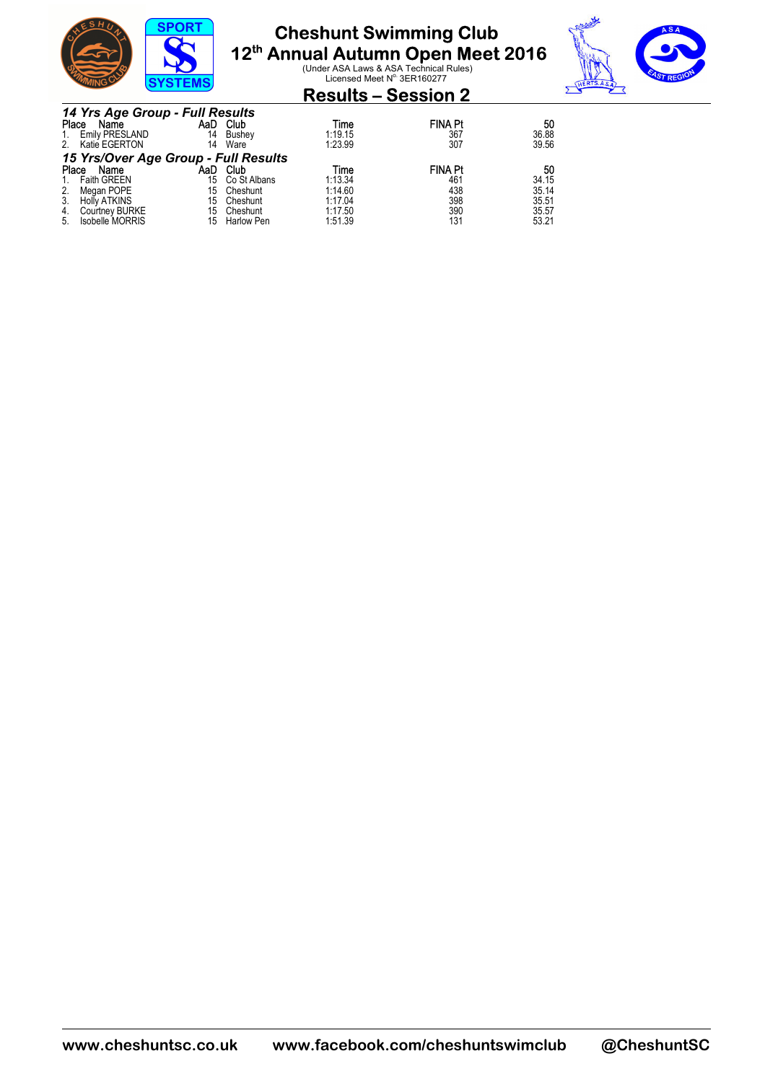

# **Cheshunt Swimming Club**

**12<sup>th</sup> Annual Autumn Open Meet 2016**<br>
Under ASA Laws & ASA Technical Rules)<br>
Licensed Meet N<sup>o</sup> 3ER160277



### **Results – Session 2**

|       | 14 Yrs Age Group - Full Results      |     |                   |         |                |       |  |  |
|-------|--------------------------------------|-----|-------------------|---------|----------------|-------|--|--|
| Place | Name                                 |     | AaD Club          | Time    | <b>FINA Pt</b> | 50    |  |  |
| 1.    | <b>Emily PRESLAND</b>                | 14  | Bushev            | 1:19.15 | 367            | 36.88 |  |  |
| 2.    | Katie EGERTON                        | 14  | Ware              | 1:23.99 | 307            | 39.56 |  |  |
|       | 15 Yrs/Over Age Group - Full Results |     |                   |         |                |       |  |  |
| Place | Name                                 | AaD | Club              | Time    | <b>FINA Pt</b> | 50    |  |  |
| 1.    | <b>Faith GREEN</b>                   | 15  | Co St Albans      | 1:13.34 | 461            | 34.15 |  |  |
| 2.    | Megan POPE                           | 15  | Cheshunt          | 1:14.60 | 438            | 35.14 |  |  |
| 3.    | <b>Holly ATKINS</b>                  | 15  | Cheshunt          | 1:17.04 | 398            | 35.51 |  |  |
| 4.    | <b>Courtney BURKE</b>                | 15  | Cheshunt          | 1:17.50 | 390            | 35.57 |  |  |
| 5.    | Isobelle MORRIS                      | 15  | <b>Harlow Pen</b> | 1:51.39 | 131            | 53.21 |  |  |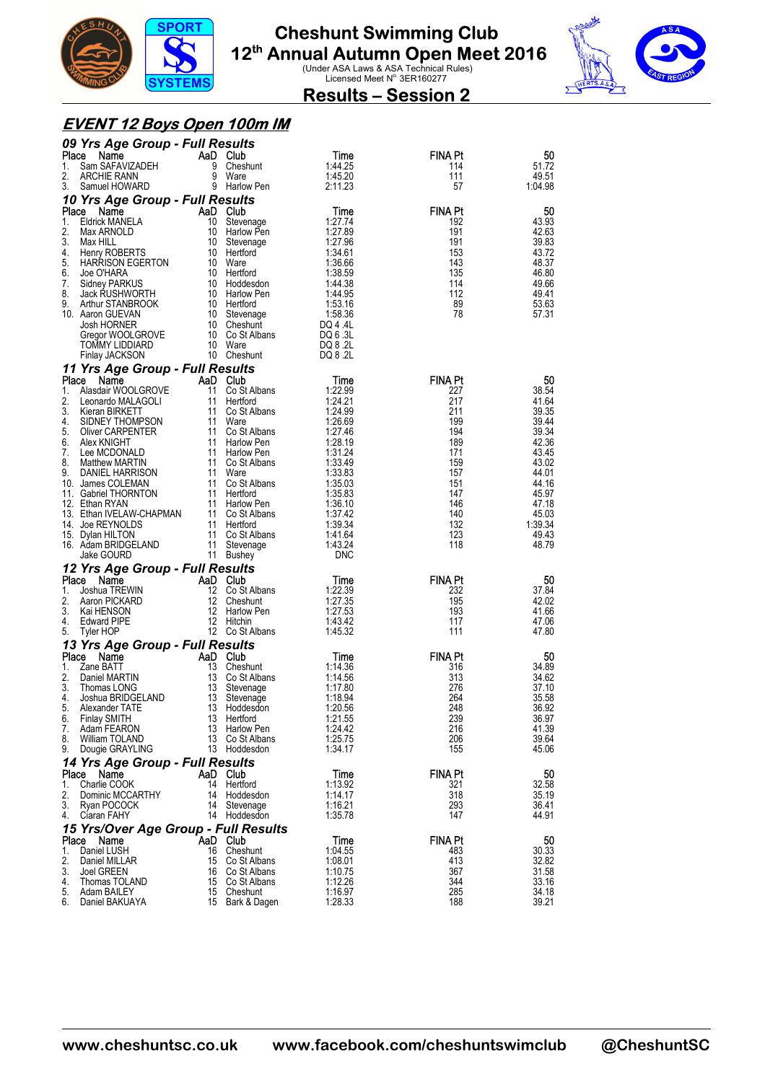



### **Results – Session 2**

#### **EVENT 12 Boys Open 100m IM**

|          | 09 Yrs Age Group - Full Results              |          |                                   |                      |                |                |
|----------|----------------------------------------------|----------|-----------------------------------|----------------------|----------------|----------------|
| Place    | Name                                         |          | AaD Club                          | Time                 | <b>FINA Pt</b> | 50             |
| 1.<br>2. | Sam SAFAVIZADEH<br><b>ARCHIE RANN</b>        | 9<br>9   | Cheshunt<br>Ware                  | 1:44.25<br>1:45.20   | 114<br>111     | 51.72<br>49.51 |
| 3.       | Samuel HOWARD                                |          | 9 Harlow Pen                      | 2:11.23              | 57             | 1:04.98        |
|          | 10 Yrs Age Group - Full Results              |          |                                   |                      |                |                |
| Place    | Name                                         |          | AaD Club                          | Time                 | <b>FINA Pt</b> | 50             |
| 1.<br>2. | <b>Eldrick MANELA</b><br>Max ARNOLD          | 10       | Stevenage<br>10 Harlow Pen        | 1:27.74<br>1:27.89   | 192<br>191     | 43.93<br>42.63 |
| 3.       | Max HILL                                     | 10       | Stevenage                         | 1:27.96              | 191            | 39.83          |
| 4.       | Henry ROBERTS                                |          | 10 Hertford                       | 1:34.61              | 153            | 43.72          |
| 5.       | <b>HARRISON EGERTON</b>                      |          | 10 Ware                           | 1:36.66              | 143            | 48.37          |
| 6.<br>7. | Joe O'HARA<br>Sidney PARKUS                  |          | 10 Hertford<br>10 Hoddesdon       | 1:38.59<br>1:44.38   | 135<br>114     | 46.80<br>49.66 |
| 8.       | Jack RUSHWORTH                               |          | 10 Harlow Pen                     | 1:44.95              | 112            | 49.41          |
| 9.       | Arthur STANBROOK                             |          | 10 Hertford                       | 1:53.16              | 89             | 53.63          |
|          | 10. Aaron GUEVAN                             |          | 10 Stevenage                      | 1:58.36              | 78             | 57.31          |
|          | Josh HORNER<br>Gregor WOOLGROVE              |          | 10 Cheshunt<br>10 Co St Albans    | DQ 4 .4L<br>DQ 6 .3L |                |                |
|          | TOMMY LIDDIARD                               |          | 10 Ware                           | DQ 8 .2L             |                |                |
|          | Finlay JACKSON                               |          | 10 Cheshunt                       | DQ 8 .2L             |                |                |
|          | 11 Yrs Age Group - Full Results              |          |                                   |                      |                |                |
| Place    | Name                                         |          | AaD Club                          | Time                 | <b>FINA Pt</b> | 50             |
| 1.       | Alasdair WOOLGROVE                           | 11       | Co St Albans                      | 1:22.99              | 227            | 38.54          |
| 2.<br>3. | Leonardo MALAGOLI<br>Kieran BIRKETT          | 11       | Hertford<br>11 Co St Albans       | 1:24.21<br>1:24.99   | 217<br>211     | 41.64<br>39.35 |
| 4.       | SIDNEY THOMPSON                              |          | 11 Ware                           | 1:26.69              | 199            | 39.44          |
| 5.       | <b>Oliver CARPENTER</b>                      |          | 11 Co St Albans                   | 1:27.46              | 194            | 39.34          |
| 6.       | Alex KNIGHT                                  |          | 11 Harlow Pen                     | 1:28.19              | 189            | 42.36          |
| 7.<br>8. | Lee MCDONALD<br><b>Matthew MARTIN</b>        |          | 11 Harlow Pen<br>11 Co St Albans  | 1:31.24<br>1:33.49   | 171<br>159     | 43.45<br>43.02 |
| 9.       | DANIEL HARRISON                              |          | 11 Ware                           | 1:33.83              | 157            | 44.01          |
|          | 10. James COLEMAN                            |          | 11 Co St Albans                   | 1:35.03              | 151            | 44.16          |
|          | 11. Gabriel THORNTON                         | 11       | Hertford                          | 1:35.83              | 147            | 45.97          |
|          | 12. Ethan RYAN                               |          | 11 Harlow Pen<br>11 Co St Albans  | 1:36.10<br>1:37.42   | 146<br>140     | 47.18<br>45.03 |
|          | 13. Ethan IVELAW-CHAPMAN<br>14. Joe REYNOLDS |          | 11 Hertford                       | 1:39.34              | 132            | 1:39.34        |
|          | 15. Dylan HILTON                             |          | 11 Co St Albans                   | 1:41.64              | 123            | 49.43          |
|          | 16. Adam BRIDGELAND                          | 11       | Stevenage                         | 1:43.24              | 118            | 48.79          |
|          | Jake GOURD                                   |          | 11 Bushey                         | <b>DNC</b>           |                |                |
|          | 12 Yrs Age Group - Full Results              |          |                                   |                      |                |                |
|          |                                              |          |                                   |                      |                |                |
| Place    | Name                                         |          | AaD Club                          | Time                 | <b>FINA Pt</b> | 50             |
| 1.       | Joshua TREWIN                                |          | 12 Co St Albans                   | 1:22.39              | 232            | 37.84          |
| 2.<br>3. | Aaron PICKARD<br>Kai HENSON                  | 12       | Cheshunt<br>12 Harlow Pen         | 1:27.35<br>1:27.53   | 195<br>193     | 42.02<br>41.66 |
| 4.       | <b>Edward PIPE</b>                           |          | 12 Hitchin                        | 1:43.42              | 117            | 47.06          |
| 5.       | Tyler HOP                                    |          | 12 Co St Albans                   | 1:45.32              | 111            | 47.80          |
|          | 13 Yrs Age Group - Full Results              |          |                                   |                      |                |                |
| Place    | Name                                         |          | AaD Club                          | Time                 | <b>FINA Pt</b> | 50             |
| 1.<br>2. | Zane BATT<br>Daniel MARTIN                   | 13       | 13 Cheshunt                       | 1:14.36<br>1:14.56   | 316<br>313     | 34.89<br>34.62 |
| 3.       | Thomas LONG                                  | 13       | Co St Albans<br>Stevenage         | 1:17.80              | 276            | 37.10          |
| 4.       | Joshua BRIDGELAND                            | 13       | Stevenage                         | 1:18.94              | 264            | 35.58          |
| 5.       | Alexander TATE                               | 13       | Hoddesdon                         | 1:20.56              | 248            | 36.92          |
| 6.       | <b>Finlay SMITH</b>                          | 13       | Hertford                          | 1:21.55              | 239            | 36.97          |
| 7.<br>8. | Adam FEARON<br><b>William TOLAND</b>         | 13<br>13 | <b>Harlow Pen</b><br>Co St Albans | 1:24.42<br>1:25.75   | 216<br>206     | 41.39<br>39.64 |
| 9.       | Dougie GRAYLING                              |          | 13 Hoddesdon                      | 1:34.17              | 155            | 45.06          |
|          | 14 Yrs Age Group - Full Results              |          |                                   |                      |                |                |
| Place    | Name                                         |          | AaD Club                          | Time                 | FINA Pt        | 50             |
| 1.       | Charlie COOK                                 | 14       | Hertford                          | 1:13.92              | 321            | 32.58          |
| 2.<br>3. | Dominic MCCARTHY                             | 14<br>14 | Hoddesdon                         | 1:14.17              | 318            | 35.19          |
| 4.       | Ryan POCOCK<br>Ciaran FAHY                   |          | Stevenage<br>14 Hoddesdon         | 1:16.21<br>1:35.78   | 293<br>147     | 36.41<br>44.91 |
|          | 15 Yrs/Over Age Group - Full Results         |          |                                   |                      |                |                |
| Place    | Name                                         |          | AaD Club                          | Time                 | <b>FINA Pt</b> | 50             |
| 1.       | Daniel LUSH                                  | 16       | Cheshunt                          | 1:04.55              | 483            | 30.33          |
| 2.       | Daniel MILLAR                                | 15       | Co St Albans                      | 1:08.01              | 413            | 32.82          |
| 3.<br>4. | Joel GREEN<br>Thomas TOLAND                  | 16       | Co St Albans<br>15 Co St Albans   | 1:10.75<br>1:12.26   | 367<br>344     | 31.58<br>33.16 |
| 5.<br>6. | Adam BAILEY<br>Daniel BAKUAYA                | 15       | 15 Cheshunt<br>Bark & Dagen       | 1:16.97<br>1:28.33   | 285<br>188     | 34.18<br>39.21 |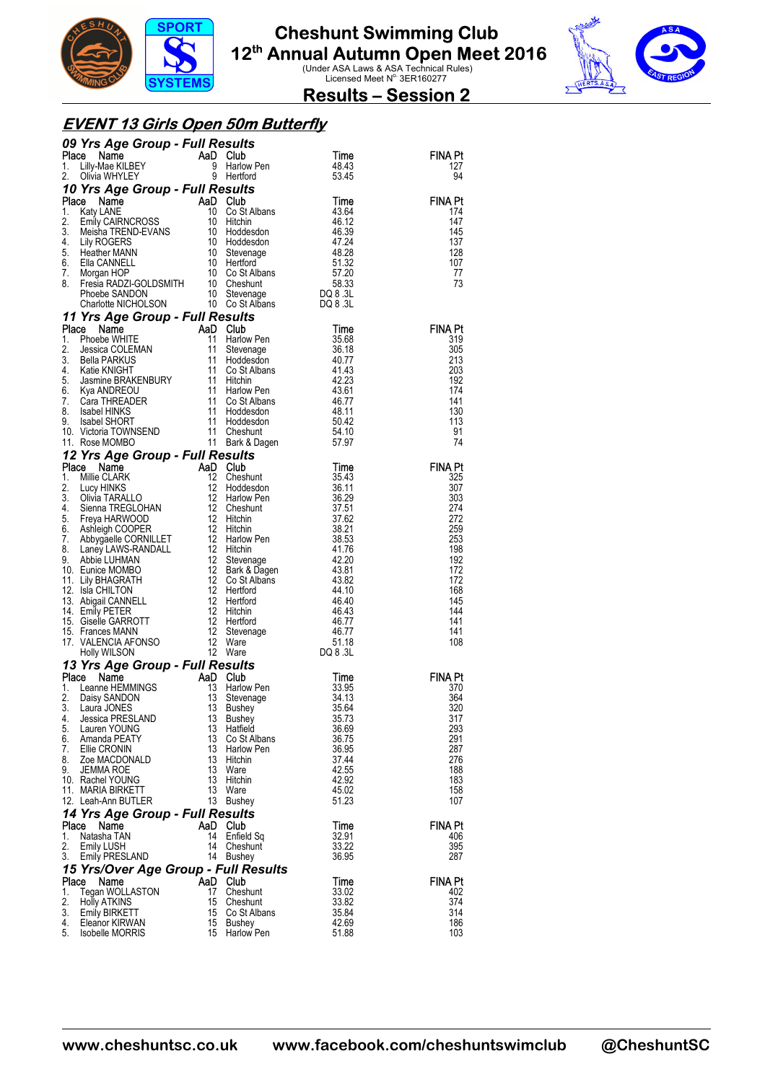



#### **Results – Session 2**

#### **EVENT 13 Girls Open 50m Butterfly**

|             | 09 Yrs Age Group - Full Results                                                                                                                                                                                                                        |          |                                                      |                |                |
|-------------|--------------------------------------------------------------------------------------------------------------------------------------------------------------------------------------------------------------------------------------------------------|----------|------------------------------------------------------|----------------|----------------|
| Place<br>1. | <b>Example 18 Apple 18 Apple 18 Apple 18 Apple 18 Apple 18 Apple 18 Apple 18 Apple 18 Apple 18 Apple 18 Apple 18 Apple 18 Apple 18 Apple 18 Apple 18 Apple 18 Apple 18 Apple 18 Apple 18 Apple 18 Apple 18 Apple 18 Apple 18 App</b>                   |          | <b>Harlow Pen</b>                                    | Time<br>48.43  | FINA Pt<br>127 |
| 2.          |                                                                                                                                                                                                                                                        |          | Hertford                                             | 53.45          | 94             |
|             | 10 Yrs Age Group - Full Results                                                                                                                                                                                                                        |          |                                                      |                |                |
| Place       |                                                                                                                                                                                                                                                        |          |                                                      |                | <b>FINA Pt</b> |
| 1.<br>2.    |                                                                                                                                                                                                                                                        |          |                                                      |                | 174<br>147     |
| 3.          |                                                                                                                                                                                                                                                        |          |                                                      |                | 145            |
| 4.          |                                                                                                                                                                                                                                                        |          |                                                      |                | 137            |
| 5.<br>6.    |                                                                                                                                                                                                                                                        |          |                                                      |                | 128<br>107     |
| 7.          |                                                                                                                                                                                                                                                        |          |                                                      |                | 77             |
| 8.          |                                                                                                                                                                                                                                                        |          |                                                      |                | 73             |
|             | <b>Control of the COVID-TERM CONTROLLER CONTROLLER CONTROLLER CONTROLLER CONTROLLER CONTROLLER CONTROLLER CONTROLLER CONTROLLER CONTROLLER CONTROLLER CONTROLLER CONTROLLER CONTROLLER CONTROLLER CONTROLLER CONTROLLER CONTROLL</b>                   |          |                                                      |                |                |
|             | 11 Yrs Age Group - Full Results                                                                                                                                                                                                                        |          |                                                      |                |                |
|             |                                                                                                                                                                                                                                                        |          |                                                      | Time           | FINA Pt        |
|             |                                                                                                                                                                                                                                                        |          | Harlow Pen<br>Stevenage                              | 35.68<br>36.18 | 319<br>305     |
|             |                                                                                                                                                                                                                                                        |          | Hoddesdon                                            | 40.77          | 213            |
|             |                                                                                                                                                                                                                                                        |          | Co St Albans                                         | 41.43          | 203            |
|             |                                                                                                                                                                                                                                                        |          | Hitchin<br>Harlow Pen                                | 42.23<br>43.61 | 192<br>174     |
|             |                                                                                                                                                                                                                                                        |          | Co St Albans                                         | 46.77          | 141            |
|             |                                                                                                                                                                                                                                                        |          | Hoddesdon                                            | 48.11          | 130            |
|             |                                                                                                                                                                                                                                                        |          | Hoddesdon<br>Cheshunt                                | 50.42<br>54.10 | 113<br>91      |
|             | 11 Yrs Age Group - Full Results<br>1. Phoebe WHITE<br>1. Phoebe WHITE<br>11 Steven<br>3. Bella PARKUS<br>11 Steven<br>3. Bella PARKUS<br>4. Katie KNIGHT<br>5. Jasmine BRAKENBURY<br>5. Jasmine BRAKENBURY<br>11 Hitchin<br>7. Cara THREADER<br>8. Isa |          | 11 Bark & Dagen                                      | 57.97          | 74             |
|             | 12 Yrs Age Group - Full Results                                                                                                                                                                                                                        |          |                                                      |                |                |
|             |                                                                                                                                                                                                                                                        |          |                                                      | Time           | FINA Pt        |
|             |                                                                                                                                                                                                                                                        |          |                                                      | 35.43<br>36.11 | 325<br>307     |
|             |                                                                                                                                                                                                                                                        |          |                                                      | 36.29          | 303            |
|             |                                                                                                                                                                                                                                                        |          |                                                      | 37.51          | 274            |
|             |                                                                                                                                                                                                                                                        |          |                                                      | 37.62<br>38.21 | 272<br>259     |
|             |                                                                                                                                                                                                                                                        |          |                                                      | 38.53          | 253            |
|             |                                                                                                                                                                                                                                                        |          |                                                      | 41.76          | 198            |
|             |                                                                                                                                                                                                                                                        |          |                                                      | 42.20<br>43.81 | 192<br>172     |
|             |                                                                                                                                                                                                                                                        |          | Bark & Dagen<br>Co St Albans<br>Hertford<br>Historid | 43.82          | 172            |
|             |                                                                                                                                                                                                                                                        |          |                                                      | 44.10          | 168<br>145     |
|             |                                                                                                                                                                                                                                                        |          |                                                      | 46.40<br>46.43 | 144            |
|             |                                                                                                                                                                                                                                                        |          |                                                      | 46.77          | 141            |
|             |                                                                                                                                                                                                                                                        |          |                                                      | 46.77<br>51.18 | 141<br>108     |
|             | 12 Yrs Age Group - Full Results<br>Place Name AaD Club<br>1. Millie CLARK 12 Cheshunt<br>2. Lucy HINKS 12 Hordosson<br>12 Hordosson<br>4. Siena TREGLOHAN 12 Cheshunt<br>5. Freya HARWOOD<br>6. Ashleigh COOPER 12 Hitchin<br>6. Ashleigh COOP         |          |                                                      | DQ 8 .3L       |                |
|             | 13 Yrs Age Group - Full Results                                                                                                                                                                                                                        |          |                                                      |                |                |
| Place       | Name                                                                                                                                                                                                                                                   | AaD      | Club                                                 | Time           | FINA Pt        |
| 1.<br>2.    | Leanne HEMMINGS<br>Daisy SANDON                                                                                                                                                                                                                        | 13<br>13 | Harlow Pen<br>Stevenage                              | 33.95<br>34.13 | 370<br>364     |
| 3.          | Laura JONES                                                                                                                                                                                                                                            | 13       | Bushey                                               | 35.64          | 320            |
| 4.<br>5.    | Jessica PRESLAND<br>Lauren YOUNG                                                                                                                                                                                                                       | 13<br>13 | Bushey                                               | 35.73          | 317<br>293     |
| 6.          | Amanda PEATY                                                                                                                                                                                                                                           | 13       | Hatfield<br>Co St Albans                             | 36.69<br>36.75 | 291            |
| 7.          | Ellie CRONIN                                                                                                                                                                                                                                           | 13       | Harlow Pen                                           | 36.95          | 287            |
| 8.<br>9.    | Zoe MACDONALD<br>JEMMA ROE                                                                                                                                                                                                                             | 13<br>13 | Hitchin<br>Ware                                      | 37.44<br>42.55 | 276<br>188     |
|             | 10. Rachel YOUNG                                                                                                                                                                                                                                       | 13       | Hitchin                                              | 42.92          | 183            |
|             | 11. MARIA BIRKETT                                                                                                                                                                                                                                      | 13       | Ware                                                 | 45.02          | 158            |
|             | 12. Leah-Ann BUTLER                                                                                                                                                                                                                                    | 13       | Bushey                                               | 51.23          | 107            |
| Place       | 14 Yrs Age Group - Full Results<br>Name                                                                                                                                                                                                                |          | AaD Club                                             | Time           | FINA Pt        |
| 1.          | Natasha TAN                                                                                                                                                                                                                                            | 14       | Enfield Sq                                           | 32.91          | 406            |
| 2.          | <b>Emily LUSH</b>                                                                                                                                                                                                                                      | 14       | Cheshunt                                             | 33.22          | 395            |
| 3.          | <b>Emily PRESLAND</b><br>15 Yrs/Over Age Group - Full Results                                                                                                                                                                                          | 14       | <b>Bushey</b>                                        | 36.95          | 287            |
|             | Place<br>Name                                                                                                                                                                                                                                          | AaD      | Club                                                 | Time           | FINA Pt        |
| 1.          | Tegan WOLLASTON                                                                                                                                                                                                                                        | 17       | Cheshunt                                             | 33.02          | 402            |
| 2.<br>3.    | <b>Holly ATKINS</b><br>Emily BIRKETT                                                                                                                                                                                                                   | 15<br>15 | Cheshunt<br>Co St Albans                             | 33.82<br>35.84 | 374<br>314     |
| 4.          | Eleanor KIRWAN                                                                                                                                                                                                                                         | 15       | Bushey                                               | 42.69          | 186            |
| 5.          | <b>Isobelle MORRIS</b>                                                                                                                                                                                                                                 | 15       | Harlow Pen                                           | 51.88          | 103            |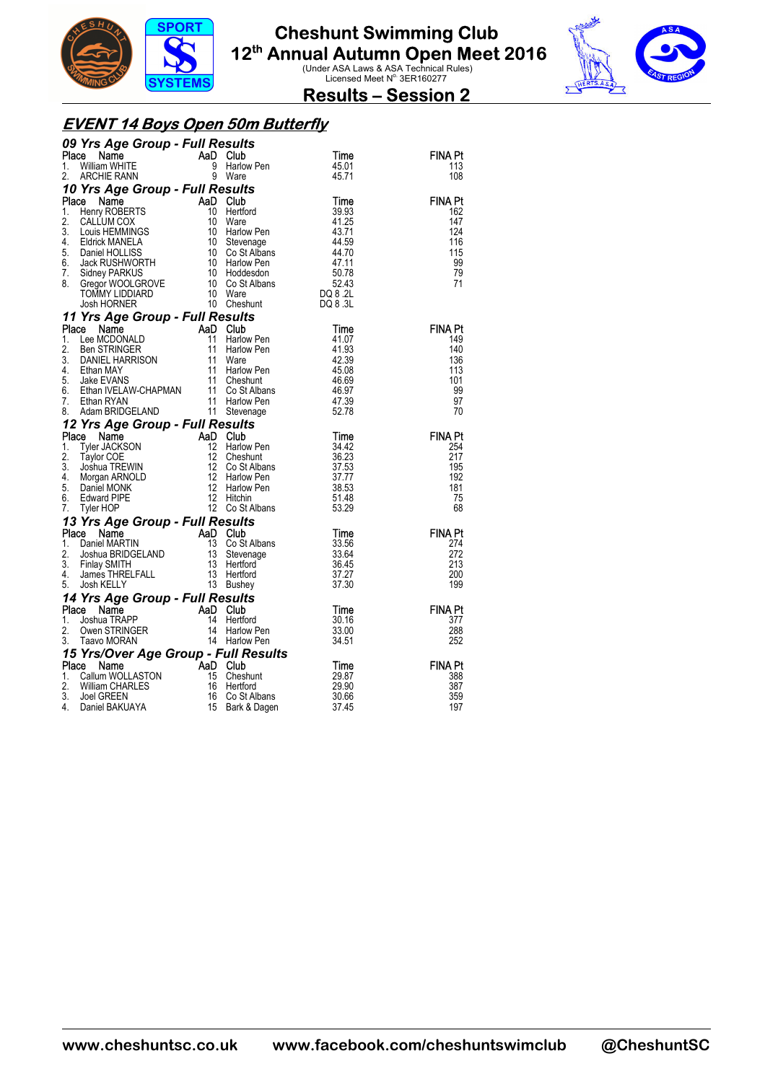



#### **Results – Session 2**

#### **EVENT 14 Boys Open 50m Butterfly**

|          | 09 Yrs Age Group - Full Results                                                                                                                                                                                                                                                                     |   |                                                        |                |                       |
|----------|-----------------------------------------------------------------------------------------------------------------------------------------------------------------------------------------------------------------------------------------------------------------------------------------------------|---|--------------------------------------------------------|----------------|-----------------------|
|          | $\begin{matrix} \mathsf{AaD} \\ 9 \\ 9 \end{matrix}$<br>Place<br>Name                                                                                                                                                                                                                               |   | Club                                                   | Time           | <b>FINA Pt</b>        |
| 1.       | William WHITE                                                                                                                                                                                                                                                                                       |   | <b>Harlow Pen</b>                                      | 45.01          | 113                   |
| 2.       | ARCHIE RANN                                                                                                                                                                                                                                                                                         | 9 | Ware                                                   | 45.71          | 108                   |
|          | 10 Yrs Age Group - Full Results<br><b>Yrs Age Group - Full Results<br/> Se Name AaD Club<br/> Henry ROBERTS 10 Heritord 39.93<br/> CALLUM COX 10 Ware 41.25<br/> Louis HEMMINGS 10 Harlow Pen 43.71<br/> Eldrick MANELA 10 Stevenage 44.59<br/> Jack RUSHWORTH 10 Harlow Pen 47.11<br/> Sidney </b> |   |                                                        |                |                       |
| 1.       | Place                                                                                                                                                                                                                                                                                               |   |                                                        |                | <b>FINA Pt</b><br>162 |
| 2.       |                                                                                                                                                                                                                                                                                                     |   |                                                        |                | 147                   |
| 3.       |                                                                                                                                                                                                                                                                                                     |   |                                                        |                | 124                   |
| 4.       |                                                                                                                                                                                                                                                                                                     |   |                                                        |                | 116                   |
| 5.       |                                                                                                                                                                                                                                                                                                     |   |                                                        |                | 115                   |
| 6.<br>7. |                                                                                                                                                                                                                                                                                                     |   |                                                        |                | 99<br>79              |
| 8.       |                                                                                                                                                                                                                                                                                                     |   |                                                        |                | 71                    |
|          |                                                                                                                                                                                                                                                                                                     |   |                                                        |                |                       |
|          |                                                                                                                                                                                                                                                                                                     |   |                                                        |                |                       |
|          | 11 Yrs Age Group - Full Results                                                                                                                                                                                                                                                                     |   |                                                        |                |                       |
| Place    |                                                                                                                                                                                                                                                                                                     |   |                                                        | Time           | FINA Pt               |
| 1.       |                                                                                                                                                                                                                                                                                                     |   | Harlow Pen                                             | 41.07          | 149                   |
| 2.<br>3. |                                                                                                                                                                                                                                                                                                     |   | Harlow Pen                                             | 41.93<br>42.39 | 140<br>136            |
| 4.       |                                                                                                                                                                                                                                                                                                     |   | Harlow Pen                                             | 45.08          | 113                   |
| 5.       |                                                                                                                                                                                                                                                                                                     |   |                                                        | 46.69          | 101                   |
| 6.       |                                                                                                                                                                                                                                                                                                     |   | Co St Albans<br>Co St Albans                           | 46.97          | 99                    |
| 7.       |                                                                                                                                                                                                                                                                                                     |   |                                                        | 47.39          | 97                    |
| 8.       | Triangle Circuity - Full Results<br>Can Harlow Pen<br>Lee MCDONALD<br>Ben STRINGER<br>DANIEL HARRISON<br>STRINGER<br>11 Harlow Pen<br>Jake EVANS<br>Jake EVANS<br>Jake EVANS<br>Harlow Pen<br>Jake EVANS<br>Ethan IVELAW-CHAPMAN<br>11 Co St Albans<br>Eth                                          |   |                                                        | 52.78          | 70                    |
|          | 12 Yrs Age Group - Full Results                                                                                                                                                                                                                                                                     |   |                                                        |                |                       |
|          |                                                                                                                                                                                                                                                                                                     |   |                                                        |                |                       |
|          | Place Name                                                                                                                                                                                                                                                                                          |   |                                                        | Time           | <b>FINA Pt</b>        |
| 1.<br>2. |                                                                                                                                                                                                                                                                                                     |   | <b>Harlow Pen</b>                                      | 34.42<br>36.23 | 254<br>217            |
| 3.       |                                                                                                                                                                                                                                                                                                     |   |                                                        | 37.53          | 195                   |
| 4.       |                                                                                                                                                                                                                                                                                                     |   |                                                        | 37.77          | 192                   |
| 5.       |                                                                                                                                                                                                                                                                                                     |   |                                                        | 38.53          | 181                   |
| 6.       |                                                                                                                                                                                                                                                                                                     |   | Hans<br>Cheshunt<br>Co St Albans<br>''arlow Pen<br>Com | 51.48          | 75                    |
| 7.       | <b>CONTROLLER COMPLEMENT AND CULTURE CONTROLLER SUBSEX CONTROLLER SUBSEX CONTROLLER SUBSEX CONTROLLER SUBSEX CONTROLLER SUBSEX CONTROLLER SUBSEX CONTROLLER SUBSEX CONTROLLER SUBSEX CONTROLLER SUBSEX CONTROLLER SUBSEX CONTROL</b>                                                                |   | 12 Co St Albans                                        | 53.29          | 68                    |
|          |                                                                                                                                                                                                                                                                                                     |   |                                                        | Time           | <b>FINA Pt</b>        |
|          |                                                                                                                                                                                                                                                                                                     |   | Co St Albans                                           | 33.56          | 274                   |
|          |                                                                                                                                                                                                                                                                                                     |   |                                                        | 33.64          | 272                   |
|          |                                                                                                                                                                                                                                                                                                     |   |                                                        | 36.45          | 213                   |
|          |                                                                                                                                                                                                                                                                                                     |   |                                                        | 37.27          | 200                   |
|          | 13 Yrs Age Group - Full Results<br>Place Name<br>1. Daniel MARTIN 13 Co St Albar<br>2. Joshua BRIDGELAND 13 Stevenage<br>3. Finlay SMITH 13 Hertford<br>4. James THRELFALL 13 Hertford<br>5. Josh KELLY                                                                                             |   |                                                        | 37.30          | 199                   |
|          |                                                                                                                                                                                                                                                                                                     |   |                                                        |                |                       |
|          |                                                                                                                                                                                                                                                                                                     |   |                                                        | Time<br>30.16  | <b>FINA Pt</b><br>377 |
|          |                                                                                                                                                                                                                                                                                                     |   |                                                        | 33.00          | 288                   |
|          | <b>14 Yrs Age Group - Full Results<br/> Place Name AaD Club<br/> 1. Joshua TRAPP 14 Hertford<br/> 2. Owen STRINGER 14 Harlow Pen<br/> 3. Taavo MORAN 14 Harlow Pen</b>                                                                                                                              |   |                                                        | 34.51          | 252                   |
|          |                                                                                                                                                                                                                                                                                                     |   |                                                        |                |                       |
|          | 15 Yrs/Over Age Group - Full Results<br>Place Name AaD Club<br>Place                                                                                                                                                                                                                                |   |                                                        | Time           | <b>FINA Pt</b>        |
| 1.<br>2. |                                                                                                                                                                                                                                                                                                     |   | Cheshunt<br>Hertford                                   | 29.87<br>29.90 | 388<br>387            |
| 3.       | Ce Name<br>Callum WOLLASTON 15 Chest<br>William CHARLES 16 Hertfo<br>Joel GREEN 16 Co St<br>Daniel BAKUAYA 15 Bark 8                                                                                                                                                                                |   | Co St Albans                                           | 30.66          | 359                   |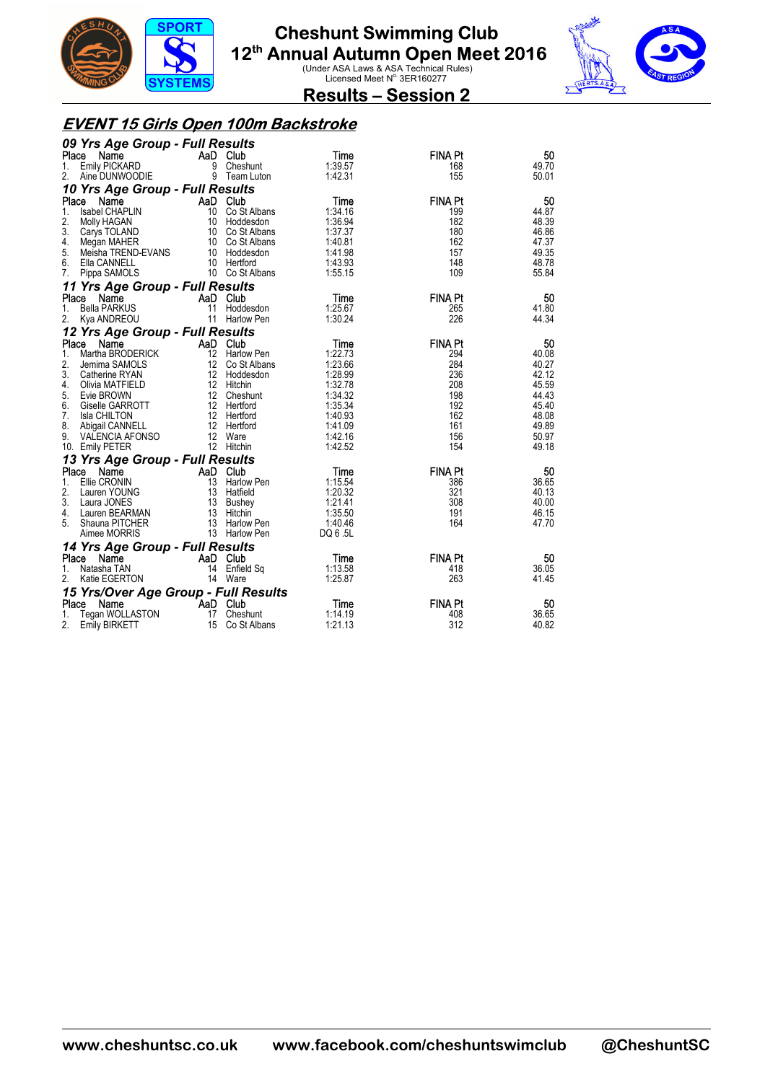



**Results – Session 2** 

#### **EVENT 15 Girls Open 100m Backstroke**

| 09 Yrs Age Group - Full Results                    |          |                                      |                    |                |                |
|----------------------------------------------------|----------|--------------------------------------|--------------------|----------------|----------------|
| Place<br>Name                                      | AaD Club |                                      | Time               | <b>FINA Pt</b> | 50             |
| Emily PICKARD<br>1.                                |          | 9 Cheshunt                           | 1:39.57            | 168            | 49.70          |
| 2.<br>Aine DUNWOODIE                               |          | 9 Team Luton                         | 1:42.31            | 155            | 50.01          |
| 10 Yrs Age Group - Full Results                    |          |                                      |                    |                |                |
| Place<br>Name                                      | AaD Club |                                      | Time               | <b>FINA Pt</b> | 50             |
| 1.<br>Isabel CHAPLIN                               |          | 10 Co St Albans                      | 1:34.16            | 199            | 44.87          |
| 2.<br>Molly HAGAN<br>3.                            |          | 10 Hoddesdon                         | 1:36.94            | 182            | 48.39          |
| Carys TOLAND<br>4.                                 |          | 10 Co St Albans<br>10 Co St Albans   | 1:37.37<br>1:40.81 | 180<br>162     | 46.86<br>47.37 |
| Megan MAHER<br>Meisha TREND-EVANS<br>5.            |          | 10 Hoddesdon                         | 1:41.98            | 157            | 49.35          |
| 6.<br>Ella CANNELL                                 |          | 10 Hertford                          | 1:43.93            | 148            | 48.78          |
| Pippa SAMOLS<br>7.                                 |          | 10 Co St Albans                      | 1:55.15            | 109            | 55.84          |
| 11 Yrs Age Group - Full Results                    |          |                                      |                    |                |                |
| Place<br>Name                                      | AaD Club |                                      | Time               | <b>FINA Pt</b> | 50             |
| <b>Bella PARKUS</b><br>1.                          | 11       | Hoddesdon                            | 1:25.67            | 265            | 41.80          |
| 2.<br>Kya ANDREOU                                  |          | 11 Harlow Pen                        | 1:30.24            | 226            | 44.34          |
| 12 Yrs Age Group - Full Results                    |          |                                      |                    |                |                |
| Place<br>Name                                      | AaD Club |                                      | Time               | <b>FINA Pt</b> | 50             |
| Martha BRODERICK<br>1.                             |          | 12 Harlow Pen                        | 1:22.73            | 294            | 40.08          |
| 2.<br>Jemima SAMOLS                                |          | {<br>12 Co St Albans<br>10 Unddeedon | 1:23.66            | 284            | 40.27          |
| 3.<br>Catherine RYAN                               |          | 12 Hoddesdon                         | 1:28.99            | 236            | 42.12          |
| 4.<br>Olivia MATFIELD                              |          | 12 Hitchin                           | 1:32.78            | 208            | 45.59          |
| 5.<br>Evie BROWN                                   |          | 12 Cheshunt                          | 1:34.32            | 198            | 44.43          |
| 6.<br>Giselle GARROTT                              |          | 12 Hertford                          | 1:35.34            | 192            | 45.40          |
| 7.<br><b>Isla CHILTON</b><br>8.<br>Abigail CANNELL |          | 12 Hertford<br>12 Hertford           | 1:40.93<br>1:41.09 | 162<br>161     | 48.08<br>49.89 |
| 9.<br>VALENCIA AFONSO                              |          | 12 Ware                              | 1:42.16            | 156            | 50.97          |
| 10. Emily PETER                                    |          | 12 Hitchin                           | 1:42.52            | 154            | 49.18          |
| 13 Yrs Age Group - Full Results                    |          |                                      |                    |                |                |
| Place<br>Name                                      | AaD Club |                                      | Time               | <b>FINA Pt</b> | 50             |
| Ellie CRONIN<br>1.                                 |          | 13 Harlow Pen                        | 1:15.54            | 386            | 36.65          |
| 2.<br>Lauren YOUNG                                 |          | 13 Hatfield                          | 1:20.32            | 321            | 40.13          |
| 3.<br>Laura JONES                                  |          | 13 Bushey                            | 1:21.41            | 308            | 40.00          |
| Lauren BEARMAN<br>4.                               |          | 13 Hitchin                           | 1:35.50            | 191            | 46.15          |
| Shauna PITCHER<br>5.                               |          | 13 Harlow Pen                        | 1:40.46            | 164            | 47.70          |
| Aimee MORRIS                                       |          | 13 Harlow Pen                        | DQ 6 .5L           |                |                |
| 14 Yrs Age Group - Full Results                    |          |                                      |                    |                |                |
| Place<br>Name                                      | AaD Club |                                      | Time               | <b>FINA Pt</b> | 50             |
| Natasha TAN<br>1.                                  |          | 14 Enfield Sq                        | 1:13.58            | 418            | 36.05          |
| 2.<br>Katie EGERTON                                |          | 14 Ware                              | 1:25.87            | 263            | 41.45          |
| 15 Yrs/Over Age Group - Full Results               |          |                                      |                    |                |                |
| Place<br>Name                                      | AaD Club |                                      | Time               | <b>FINA Pt</b> | 50             |
| Tegan WOLLASTON<br>1.                              | 17       | Cheshunt                             | 1:14.19            | 408            | 36.65          |
| 2.<br><b>Emily BIRKETT</b>                         | 15       | Co St Albans                         | 1:21.13            | 312            | 40.82          |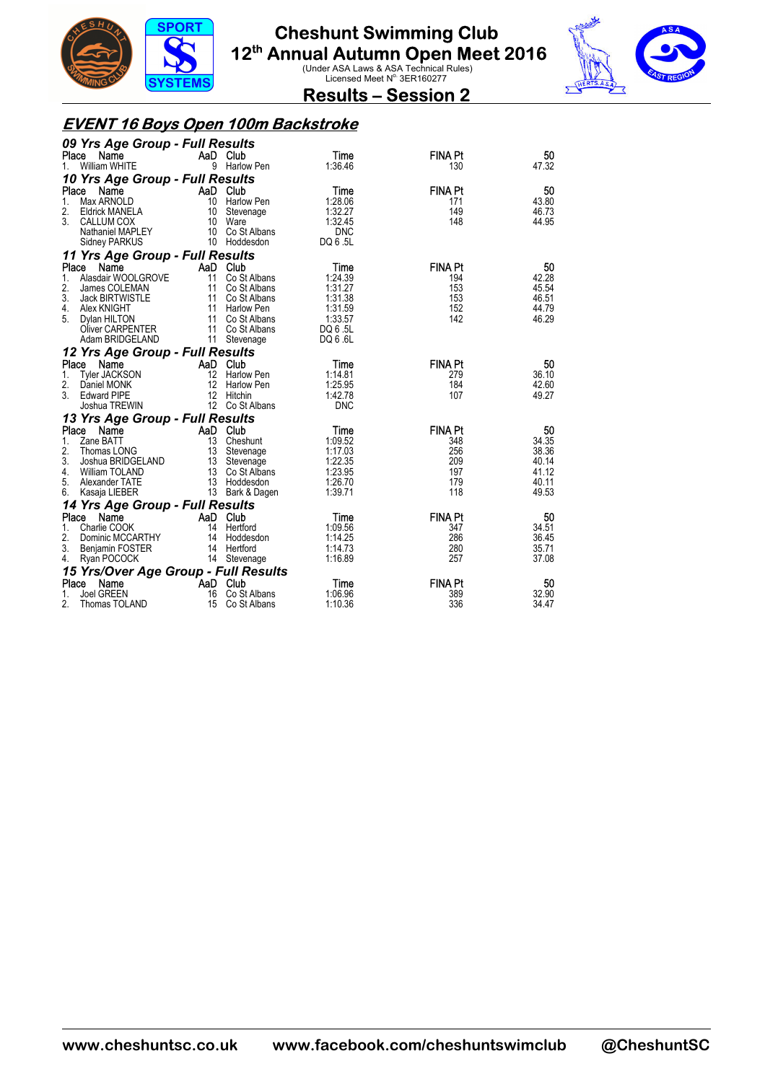



**Results – Session 2** 

### **EVENT 16 Boys Open 100m Backstroke**

| 09 Yrs Age Group - Full Results           |                                 |                             |                       |                       |                |  |  |  |
|-------------------------------------------|---------------------------------|-----------------------------|-----------------------|-----------------------|----------------|--|--|--|
| Name<br>Place                             |                                 | AaD Club                    | Time                  | <b>FINA Pt</b>        | 50             |  |  |  |
| <b>William WHITE</b><br>1.                |                                 | 9 Harlow Pen                | 1:36.46               | 130                   | 47.32          |  |  |  |
|                                           | 10 Yrs Age Group - Full Results |                             |                       |                       |                |  |  |  |
| Place<br>Name                             | AaD Club                        |                             | Time                  | <b>FINA Pt</b>        | 50             |  |  |  |
| 1.<br>Max ARNOLD                          |                                 | 10 Harlow Pen               | 1:28.06               | 171                   | 43.80          |  |  |  |
| 2.<br><b>Eldrick MANELA</b>               |                                 | 10 Stevenage                | 1:32.27               | 149                   | 46.73          |  |  |  |
| 3.<br>CALLUM COX<br>Nathaniel MAPLEY      |                                 | 10 Ware<br>10 Co St Albans  | 1:32.45<br><b>DNC</b> | 148                   | 44.95          |  |  |  |
| Sidney PARKUS                             |                                 | 10 Hoddesdon                | DQ 6.5L               |                       |                |  |  |  |
|                                           |                                 |                             |                       |                       |                |  |  |  |
| 11 Yrs Age Group - Full Results           |                                 |                             |                       |                       |                |  |  |  |
| Place<br>Name<br>Alasdair WOOLGROVE<br>1. |                                 | AaD Club<br>11 Co St Albans | Time<br>1:24.39       | <b>FINA Pt</b><br>194 | 50<br>42.28    |  |  |  |
| 2.<br>James COLEMAN                       |                                 | 11 Co St Albans             | 1:31.27               | 153                   | 45.54          |  |  |  |
| 3.<br>Jack BIRTWISTLE                     |                                 | 11 Co St Albans             | 1:31.38               | 153                   | 46.51          |  |  |  |
| 4.<br>Alex KNIGHT                         |                                 | 11 Harlow Pen               | 1:31.59               | 152                   | 44.79          |  |  |  |
| 5.<br>Dylan HILTON                        |                                 | 11 Co St Albans             | 1:33.57               | 142                   | 46.29          |  |  |  |
| Oliver CARPENTER                          |                                 | 11 Co St Albans             | DQ 6 .5L              |                       |                |  |  |  |
| Adam BRIDGELAND                           |                                 | 11 Stevenage                | DQ 6 .6L              |                       |                |  |  |  |
| 12 Yrs Age Group - Full Results           |                                 |                             |                       |                       |                |  |  |  |
| Place Name                                | AaD Club                        |                             | Time                  | <b>FINA Pt</b>        | 50             |  |  |  |
| Tyler JACKSON<br>1.                       |                                 | 12 Harlow Pen               | 1:14.81               | 279                   | 36.10          |  |  |  |
| 2.<br>Daniel MONK                         |                                 | 12 Harlow Pen               | 1:25.95               | 184                   | 42.60          |  |  |  |
| 3.<br><b>Edward PIPE</b>                  | 12                              | Hitchin                     | 1:42.78               | 107                   | 49.27          |  |  |  |
| Joshua TREWIN                             |                                 | 12 Co St Albans             | <b>DNC</b>            |                       |                |  |  |  |
| 13 Yrs Age Group - Full Results           |                                 |                             |                       |                       |                |  |  |  |
| Place<br>Name                             | AaD Club                        |                             | Time                  | <b>FINA Pt</b>        | 50             |  |  |  |
| 1.<br>Zane BATT                           |                                 | 13 Cheshunt                 | 1:09.52               | 348                   | 34.35          |  |  |  |
| 2.<br>Thomas LONG                         |                                 | 13 Stevenage                | 1:17.03               | 256                   | 38.36          |  |  |  |
| 3.<br>Joshua BRIDGELAND                   |                                 | 13 Stevenage                | 1:22.35               | 209                   | 40.14          |  |  |  |
| 4.<br><b>William TOLAND</b>               |                                 | 13 Co St Albans             | 1:23.95               | 197                   | 41.12          |  |  |  |
| 5.<br>Alexander TATE                      |                                 | 13 Hoddesdon                | 1:26.70               | 179                   | 40.11          |  |  |  |
| 6.<br>Kasaja LIEBER                       |                                 | 13 Bark & Dagen             | 1:39.71               | 118                   | 49.53          |  |  |  |
| 14 Yrs Age Group - Full Results           |                                 |                             |                       |                       |                |  |  |  |
| Place Name                                | AaD Club                        |                             | Time                  | <b>FINA Pt</b>        | 50             |  |  |  |
| 1.<br>Charlie COOK                        |                                 | 14 Hertford                 | 1:09.56               | 347                   | 34.51          |  |  |  |
| 2.<br>Dominic MCCARTHY                    |                                 | 14 Hoddesdon                | 1:14.25               | 286                   | 36.45          |  |  |  |
| 3. Benjamin FOSTER<br>4.<br>Ryan POCOCK   |                                 | 14 Hertford<br>14 Stevenage | 1:14.73<br>1:16.89    | 280<br>257            | 35.71<br>37.08 |  |  |  |
|                                           |                                 |                             |                       |                       |                |  |  |  |
| 15 Yrs/Over Age Group - Full Results      |                                 |                             |                       |                       |                |  |  |  |
| Place<br>Name<br>1.<br>Joel GREEN         | <b>Example 2</b> AaD Club<br>16 | Co St Albans                | Time<br>1:06.96       | <b>FINA Pt</b><br>389 | 50<br>32.90    |  |  |  |
| 2.<br>Thomas TOLAND                       | 15                              | Co St Albans                | 1:10.36               | 336                   | 34.47          |  |  |  |
|                                           |                                 |                             |                       |                       |                |  |  |  |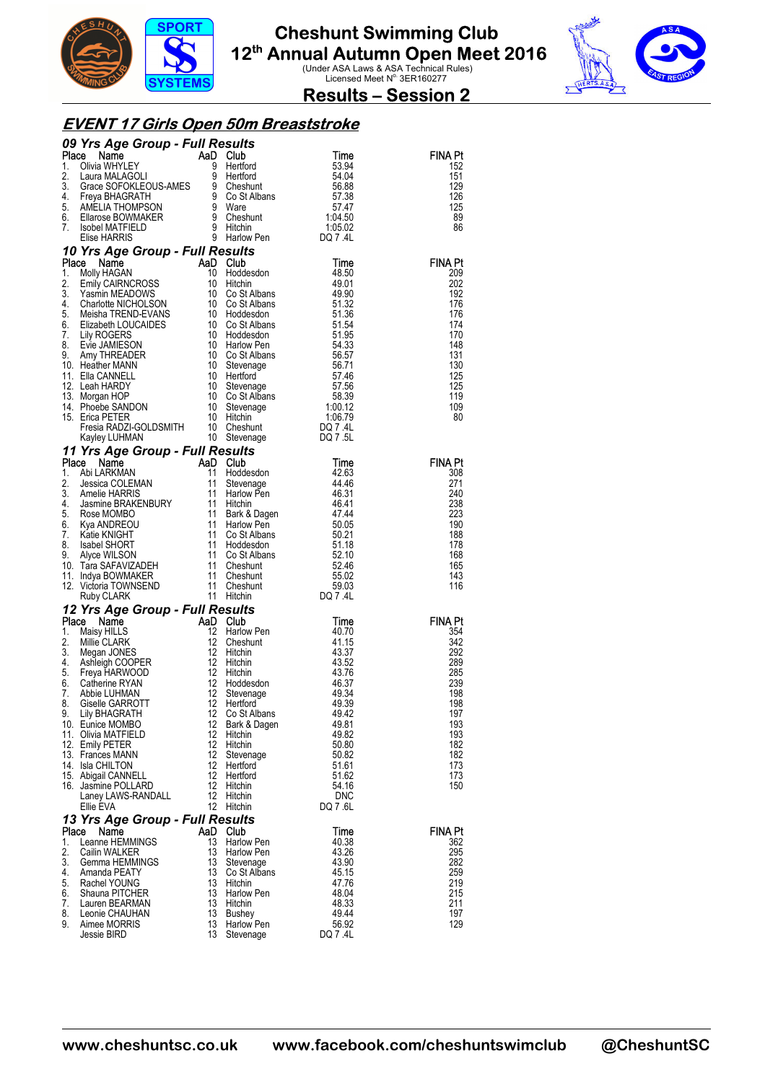



**Results – Session 2** 

#### **EVENT 17 Girls Open 50m Breaststroke**

|          | <b>09 Yrs Age Group - Full Results</b><br>1. Olivia WHYLEY<br>1. Olivia WHYLEY<br>1. Olivia WHYLEY<br>1. Clienter and Club Samme Stage Schools AMES are SOFORLEOUS-AMES and the stage STAR of the stage SCHARGRATH<br>4. Freya BHAGRATH and C                                                                     |                   |                                        |                |                |
|----------|-------------------------------------------------------------------------------------------------------------------------------------------------------------------------------------------------------------------------------------------------------------------------------------------------------------------|-------------------|----------------------------------------|----------------|----------------|
|          |                                                                                                                                                                                                                                                                                                                   |                   |                                        |                | <b>FINA Pt</b> |
|          |                                                                                                                                                                                                                                                                                                                   |                   |                                        |                | 152<br>151     |
|          |                                                                                                                                                                                                                                                                                                                   |                   |                                        |                | 129            |
|          |                                                                                                                                                                                                                                                                                                                   |                   |                                        |                | 126            |
|          |                                                                                                                                                                                                                                                                                                                   |                   |                                        |                | 125            |
|          |                                                                                                                                                                                                                                                                                                                   |                   |                                        |                | 89             |
|          |                                                                                                                                                                                                                                                                                                                   |                   |                                        |                | 86             |
|          |                                                                                                                                                                                                                                                                                                                   |                   |                                        |                |                |
|          |                                                                                                                                                                                                                                                                                                                   |                   |                                        |                | <b>FINA Pt</b> |
|          |                                                                                                                                                                                                                                                                                                                   |                   |                                        |                | 209            |
|          |                                                                                                                                                                                                                                                                                                                   |                   |                                        |                | 202            |
|          |                                                                                                                                                                                                                                                                                                                   |                   |                                        |                | 192            |
|          |                                                                                                                                                                                                                                                                                                                   |                   |                                        |                | 176            |
|          |                                                                                                                                                                                                                                                                                                                   |                   |                                        |                | 176<br>174     |
|          |                                                                                                                                                                                                                                                                                                                   |                   |                                        |                | 170            |
|          |                                                                                                                                                                                                                                                                                                                   |                   |                                        |                | 148            |
|          |                                                                                                                                                                                                                                                                                                                   |                   |                                        |                | 131            |
|          |                                                                                                                                                                                                                                                                                                                   |                   |                                        |                | 130<br>125     |
|          |                                                                                                                                                                                                                                                                                                                   |                   |                                        |                | 125            |
|          |                                                                                                                                                                                                                                                                                                                   |                   |                                        |                | 119            |
|          |                                                                                                                                                                                                                                                                                                                   |                   |                                        |                | 109            |
|          |                                                                                                                                                                                                                                                                                                                   |                   |                                        |                | 80             |
|          |                                                                                                                                                                                                                                                                                                                   |                   |                                        |                |                |
|          |                                                                                                                                                                                                                                                                                                                   |                   |                                        |                |                |
|          |                                                                                                                                                                                                                                                                                                                   |                   |                                        |                | <b>FINA Pt</b> |
|          |                                                                                                                                                                                                                                                                                                                   |                   |                                        |                | 308            |
|          |                                                                                                                                                                                                                                                                                                                   |                   |                                        |                | 271            |
|          |                                                                                                                                                                                                                                                                                                                   |                   |                                        |                | 240            |
|          |                                                                                                                                                                                                                                                                                                                   |                   |                                        |                | 238            |
|          |                                                                                                                                                                                                                                                                                                                   |                   |                                        |                | 223<br>190     |
|          |                                                                                                                                                                                                                                                                                                                   |                   |                                        |                | 188            |
|          |                                                                                                                                                                                                                                                                                                                   |                   |                                        |                | 178            |
|          |                                                                                                                                                                                                                                                                                                                   |                   |                                        |                | 168            |
|          |                                                                                                                                                                                                                                                                                                                   |                   |                                        |                | 165<br>143     |
|          |                                                                                                                                                                                                                                                                                                                   |                   |                                        |                | 116            |
|          |                                                                                                                                                                                                                                                                                                                   |                   |                                        |                |                |
|          | 12 Yrs Age Group - Full Results                                                                                                                                                                                                                                                                                   |                   |                                        |                |                |
|          | <b>Yrs Age Group - Full Results<br/> Ce Name<br/> Maisy HILLS<br/> Maisy HILLS<br/> Maisy HILLS<br/> Maisy HILLS<br/> Maisy HILLS<br/> Maisy HILLS<br/> Maisy HILLS<br/> Maisy HILLS<br/> Magan JONES<br/> 12 Hitchin<br/> 12 Hitchin<br/> 43.37<br/> Terya HARWOOD<br/> 22 Hitchin<br/> 43.52<br/> </b><br>Place |                   |                                        |                | <b>FINA Pt</b> |
| 1.       |                                                                                                                                                                                                                                                                                                                   |                   |                                        |                | 354            |
| 2.<br>3. |                                                                                                                                                                                                                                                                                                                   |                   |                                        |                | 342<br>292     |
| 4.       |                                                                                                                                                                                                                                                                                                                   |                   |                                        |                | 289            |
| 5.       |                                                                                                                                                                                                                                                                                                                   |                   |                                        |                | 285            |
| 6.       |                                                                                                                                                                                                                                                                                                                   |                   |                                        |                | 239            |
| 7.       |                                                                                                                                                                                                                                                                                                                   |                   |                                        |                | 198            |
| 8.       | 9. Lily BHAGRATH                                                                                                                                                                                                                                                                                                  |                   | 12 Co St Albans                        | 49.42          | 198<br>197     |
|          | 10. Eunice MOMBO                                                                                                                                                                                                                                                                                                  | 12                | Bark & Dagen                           | 49.81          | 193            |
|          | 11. Olivia MATFIELD                                                                                                                                                                                                                                                                                               | 12                | Hitchin                                | 49.82          | 193            |
|          | 12. Emily PETER                                                                                                                                                                                                                                                                                                   | $12 \overline{ }$ | Hitchin                                | 50.80          | 182            |
|          | 13. Frances MANN<br>14. Isla CHILTON                                                                                                                                                                                                                                                                              | 12<br>12          | Stevenage<br>Hertford                  | 50.82<br>51.61 | 182<br>173     |
|          | 15. Abigail CANNELL                                                                                                                                                                                                                                                                                               | 12                | Hertford                               | 51.62          | 173            |
|          | 16. Jasmine POLLARD                                                                                                                                                                                                                                                                                               | 12                | Hitchin                                | 54.16          | 150            |
|          | Laney LAWS-RANDALL                                                                                                                                                                                                                                                                                                | 12                | Hitchin                                | <b>DNC</b>     |                |
|          | Ellie EVA                                                                                                                                                                                                                                                                                                         |                   | 12 Hitchin                             | DQ 7.6L        |                |
|          | 13 Yrs Age Group - Full Results                                                                                                                                                                                                                                                                                   |                   |                                        |                |                |
| Place    | Name                                                                                                                                                                                                                                                                                                              |                   | AaD Club                               | Time           | <b>FINA Pt</b> |
| 1.<br>2. | Leanne HEMMINGS<br>Cailin WALKER                                                                                                                                                                                                                                                                                  | 13<br>13          | <b>Harlow Pen</b><br><b>Harlow Pen</b> | 40.38<br>43.26 | 362<br>295     |
| 3.       | Gemma HEMMINGS                                                                                                                                                                                                                                                                                                    | 13                | Stevenage                              | 43.90          | 282            |
| 4.       | Amanda PEATY                                                                                                                                                                                                                                                                                                      | 13                | Co St Albans                           | 45.15          | 259            |
| 5.       | Rachel YOUNG                                                                                                                                                                                                                                                                                                      | 13                | Hitchin                                | 47.76          | 219            |
| 6.       | Shauna PITCHER                                                                                                                                                                                                                                                                                                    | 13<br>13          | Harlow Pen                             | 48.04          | 215<br>211     |
| 7.<br>8. | Lauren BEARMAN<br>Leonie CHAUHAN                                                                                                                                                                                                                                                                                  | 13                | Hitchin<br><b>Bushey</b>               | 48.33<br>49.44 | 197            |
| 9.       | Aimee MORRIS                                                                                                                                                                                                                                                                                                      | 13                | Harlow Pen                             | 56.92          | 129            |
|          | Jessie BIRD                                                                                                                                                                                                                                                                                                       | 13                | Stevenage                              | DQ 7 .4L       |                |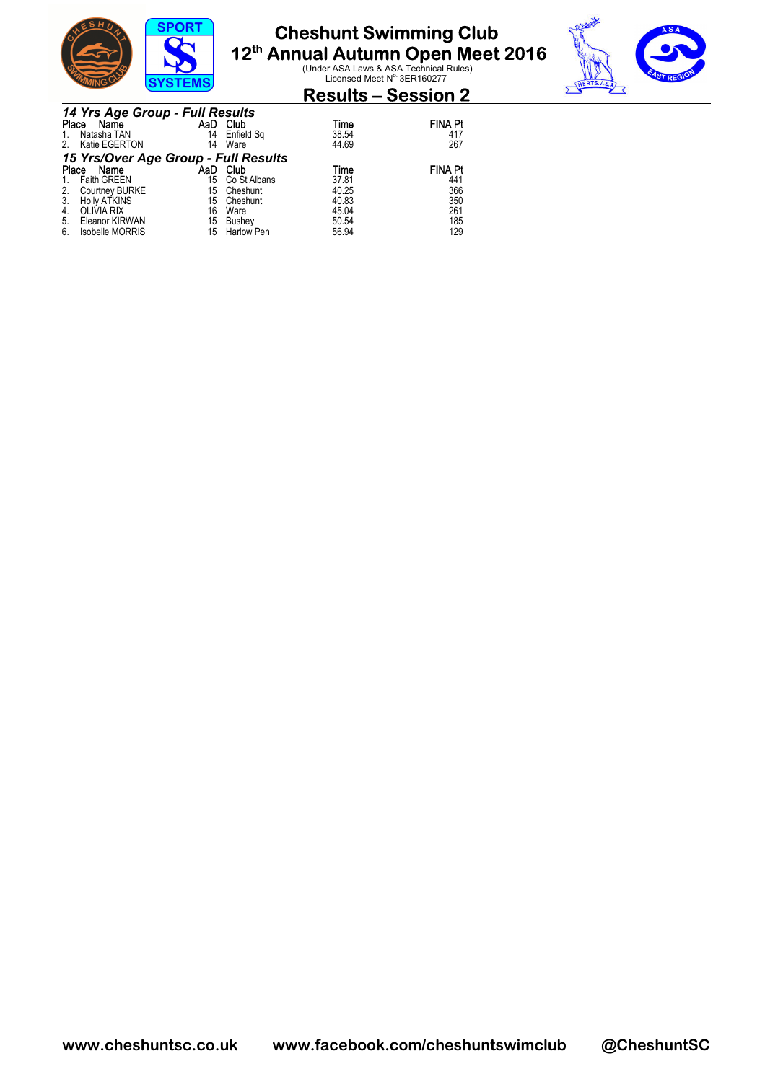



### **Results – Session 2**

|    | 14 Yrs Age Group - Full Results      |     |              |       |                |  |  |  |
|----|--------------------------------------|-----|--------------|-------|----------------|--|--|--|
|    | Place Name                           | AaD | Club         | Time  | <b>FINA Pt</b> |  |  |  |
|    | Natasha TAN                          | 14  | Enfield Sq   | 38.54 | 417            |  |  |  |
| 2. | Katie EGERTON                        | 14  | Ware         | 44.69 | 267            |  |  |  |
|    | 15 Yrs/Over Age Group - Full Results |     |              |       |                |  |  |  |
|    | Name<br>Place                        | AaD | Club         | Time  | <b>FINA Pt</b> |  |  |  |
|    | <b>Faith GREEN</b>                   | 15  | Co St Albans | 37.81 | 441            |  |  |  |
| 2. | Courtney BURKE                       | 15  | Cheshunt     | 40.25 | 366            |  |  |  |
| 3. | <b>Holly ATKINS</b>                  | 15  | Cheshunt     | 40.83 | 350            |  |  |  |
| 4. | <b>OLIVIA RIX</b>                    | 16  | Ware         | 45.04 | 261            |  |  |  |
| 5. | Eleanor KIRWAN                       | 15  | Bushey       | 50.54 | 185            |  |  |  |
| 6. | <b>Isobelle MORRIS</b>               | 15  | Harlow Pen   | 56.94 | 129            |  |  |  |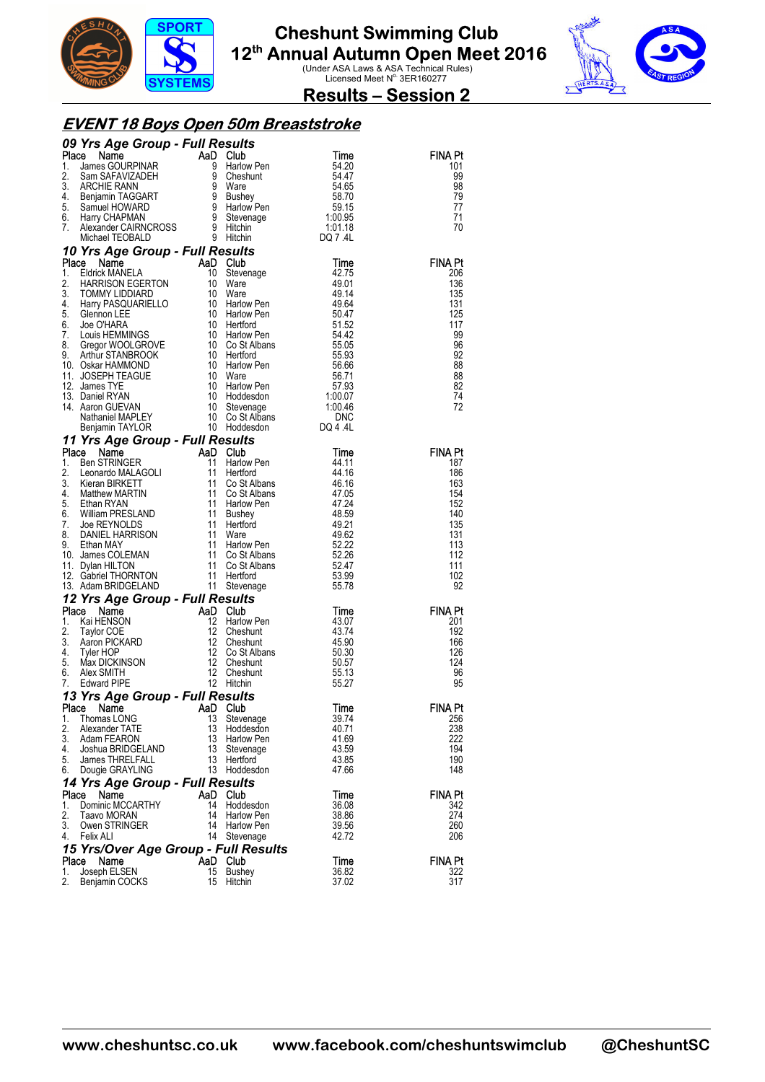



**Results – Session 2** 

#### **EVENT 18 Boys Open 50m Breaststroke**

|              | 09 Yrs Age Group - Full Results                                                                                                                                                                                                                                                                      |          |                                                          |                                            |                |
|--------------|------------------------------------------------------------------------------------------------------------------------------------------------------------------------------------------------------------------------------------------------------------------------------------------------------|----------|----------------------------------------------------------|--------------------------------------------|----------------|
|              | <b>Place Name COURPINAR</b><br>2. Sam SAFAVIZADEH 9 Harlow Pen<br>1. James GOURPINAR 9 Harlow Pen<br>3. ARCHIE RANN 9 Ware<br>4. Benjamin TAGGART 9 Bushey 58.70<br>5. Samuel HOWARD 9 Harlow Pen<br>6. Harry CHAPMAN 9 Stevenage 1:00.95<br>7. A                                                    |          | Suns<br>Club<br>Harlow Pen                               |                                            | <b>FINA Pt</b> |
|              |                                                                                                                                                                                                                                                                                                      |          |                                                          |                                            | 101            |
|              |                                                                                                                                                                                                                                                                                                      |          |                                                          |                                            | 99<br>98       |
|              |                                                                                                                                                                                                                                                                                                      |          |                                                          |                                            | 79             |
|              |                                                                                                                                                                                                                                                                                                      |          |                                                          |                                            | 77             |
|              |                                                                                                                                                                                                                                                                                                      |          |                                                          |                                            | 71             |
|              |                                                                                                                                                                                                                                                                                                      |          |                                                          |                                            | 70             |
|              |                                                                                                                                                                                                                                                                                                      |          |                                                          |                                            |                |
|              | 10 Yrs Age Group - Full Results                                                                                                                                                                                                                                                                      |          | Hitchin<br>Sults<br>Club<br>Stevenage<br><sup>Mare</sup> |                                            |                |
|              | 10 Vrs Age Group - Full Results<br>1. Eldrick MANELA 10 Stevenage<br>1. Eldrick MANELA 10 Stevenage<br>3. HOMMY LIDDIARD 10 Ware<br>4. Harry PASQUARIELLO 10 Harlow Pen<br>5. Glennon LEE 10 Harlow Pen<br>5. Glennon LEE 10 Harlow Pen<br>5                                                         |          |                                                          |                                            | <b>FINA Pt</b> |
|              |                                                                                                                                                                                                                                                                                                      |          |                                                          |                                            | 206            |
|              |                                                                                                                                                                                                                                                                                                      |          |                                                          |                                            | 136            |
|              |                                                                                                                                                                                                                                                                                                      |          |                                                          |                                            | 135<br>131     |
|              |                                                                                                                                                                                                                                                                                                      |          |                                                          |                                            | 125            |
|              |                                                                                                                                                                                                                                                                                                      |          |                                                          |                                            | 117            |
|              |                                                                                                                                                                                                                                                                                                      |          |                                                          |                                            | 99             |
|              |                                                                                                                                                                                                                                                                                                      |          |                                                          |                                            | 96             |
|              |                                                                                                                                                                                                                                                                                                      |          |                                                          |                                            | 92             |
|              |                                                                                                                                                                                                                                                                                                      |          |                                                          |                                            | 88             |
|              |                                                                                                                                                                                                                                                                                                      |          |                                                          |                                            | 88<br>82       |
|              |                                                                                                                                                                                                                                                                                                      |          |                                                          |                                            | 74             |
|              |                                                                                                                                                                                                                                                                                                      |          |                                                          |                                            | 72             |
|              |                                                                                                                                                                                                                                                                                                      |          |                                                          |                                            |                |
|              |                                                                                                                                                                                                                                                                                                      |          |                                                          |                                            |                |
|              |                                                                                                                                                                                                                                                                                                      |          |                                                          |                                            |                |
|              |                                                                                                                                                                                                                                                                                                      |          |                                                          | Time                                       | <b>FINA Pt</b> |
|              |                                                                                                                                                                                                                                                                                                      |          |                                                          | 44.11                                      | 187            |
|              |                                                                                                                                                                                                                                                                                                      |          |                                                          | 44.16                                      | 186            |
|              |                                                                                                                                                                                                                                                                                                      |          |                                                          | 46.16                                      | 163            |
|              |                                                                                                                                                                                                                                                                                                      |          |                                                          | 47.05                                      | 154<br>152     |
|              |                                                                                                                                                                                                                                                                                                      |          |                                                          | 47.24<br>48.59                             | 140            |
|              |                                                                                                                                                                                                                                                                                                      |          |                                                          | 49.21                                      | 135            |
|              |                                                                                                                                                                                                                                                                                                      |          |                                                          | $49.21\n49.62\n52.22\n52.26\n52.47\n53.99$ | 131            |
|              |                                                                                                                                                                                                                                                                                                      |          |                                                          |                                            | 113            |
|              |                                                                                                                                                                                                                                                                                                      |          |                                                          |                                            | 112            |
|              |                                                                                                                                                                                                                                                                                                      |          |                                                          | 53.99                                      | 111<br>102     |
|              |                                                                                                                                                                                                                                                                                                      |          |                                                          | 55.78                                      | 92             |
|              | <b>11 Yrs Age Group - Full Results</b><br><b>11 Yrs Age Group - Full Results</b><br><b>1.</b> Ben STRINGER<br>2. Leonardo MALAGOLI<br>11 Heritord<br>3. Kieran BIRKETT<br>4. Matthew MARTIN<br>4. Matthew MARTIN<br>4. Matthew MARTIN<br>11 Co St Albans<br>5. Et<br>12 Yrs Age Group - Full Results |          |                                                          |                                            |                |
|              | Place Name                                                                                                                                                                                                                                                                                           |          |                                                          | Time                                       | <b>FINA Pt</b> |
| 1.           |                                                                                                                                                                                                                                                                                                      |          |                                                          | 43.07                                      | 201            |
| 2.           |                                                                                                                                                                                                                                                                                                      |          |                                                          | 43.74                                      | 192            |
| 3.           |                                                                                                                                                                                                                                                                                                      |          |                                                          | 45.90                                      | 166            |
| 4.           |                                                                                                                                                                                                                                                                                                      |          |                                                          | 50.30                                      | 126            |
| 5.<br>6.     | Alex SMITH                                                                                                                                                                                                                                                                                           |          |                                                          | 50.57                                      | 124<br>96      |
| 7.           |                                                                                                                                                                                                                                                                                                      |          |                                                          | 55.13<br>55.27                             | 95             |
|              | <b>Yrs Age Group - run Norman AaD Club</b><br>Kai HENSON 12 Harlow Pen<br>Taylor COE 12 Cheshunt<br>Aaron PICKARD 12 Cheshunt<br>Tyler HOP 12 Co St Albans<br>Max DICKINSON 12 Cheshunt<br>Alex SMITH 12 Cheshunt<br>Edward PIPE 17 Hotel<br>13 Yrs Age Group - Full Results                         |          |                                                          |                                            |                |
| Place        | Name                                                                                                                                                                                                                                                                                                 | AaD Club |                                                          | Time                                       | <b>FINA Pt</b> |
| 1.           | Thomas LONG                                                                                                                                                                                                                                                                                          | 13       | Stevenage                                                | 39.74                                      | 256            |
| 2.           | Alexander TATE                                                                                                                                                                                                                                                                                       | 13       | Hoddesdon                                                | 40.71                                      | 238            |
| 3.           | Adam FEARON                                                                                                                                                                                                                                                                                          | 13       | <b>Harlow Pen</b>                                        | 41.69                                      | 222            |
| 4.           | Joshua BRIDGELAND                                                                                                                                                                                                                                                                                    | 13       | Stevenage                                                | 43.59                                      | 194            |
| 5.           | James THRELFALL                                                                                                                                                                                                                                                                                      | 13       | Hertford                                                 | 43.85                                      | 190            |
| 6.           | Dougie GRAYLING                                                                                                                                                                                                                                                                                      | 13       | Hoddesdon                                                | 47.66                                      | 148            |
|              | 14 Yrs Age Group - Full Results                                                                                                                                                                                                                                                                      |          |                                                          |                                            |                |
| Place        | Name                                                                                                                                                                                                                                                                                                 | AaD      | - Club                                                   | Time                                       | FINA Pt        |
| 1.<br>2.     | Dominic MCCARTHY<br>Taavo MORAN                                                                                                                                                                                                                                                                      | 14<br>14 | Hoddesdon<br><b>Harlow Pen</b>                           | 36.08<br>38.86                             | 342<br>274     |
| 3.           | Owen STRINGER                                                                                                                                                                                                                                                                                        | 14       | <b>Harlow Pen</b>                                        | 39.56                                      | 260            |
| 4.           | Felix ALI                                                                                                                                                                                                                                                                                            | 14       | Stevenage                                                | 42.72                                      | 206            |
|              | 15 Yrs/Over Age Group - Full Results                                                                                                                                                                                                                                                                 |          |                                                          |                                            |                |
| <b>Place</b> | Name                                                                                                                                                                                                                                                                                                 | AaD Club |                                                          | Time                                       | FINA Pt        |
| 1.           | Joseph ELSEN                                                                                                                                                                                                                                                                                         | 15       | Bushey                                                   | 36.82                                      | 322            |
| 2.           | Benjamin COCKS                                                                                                                                                                                                                                                                                       | 15       | Hitchin                                                  | 37.02                                      | 317            |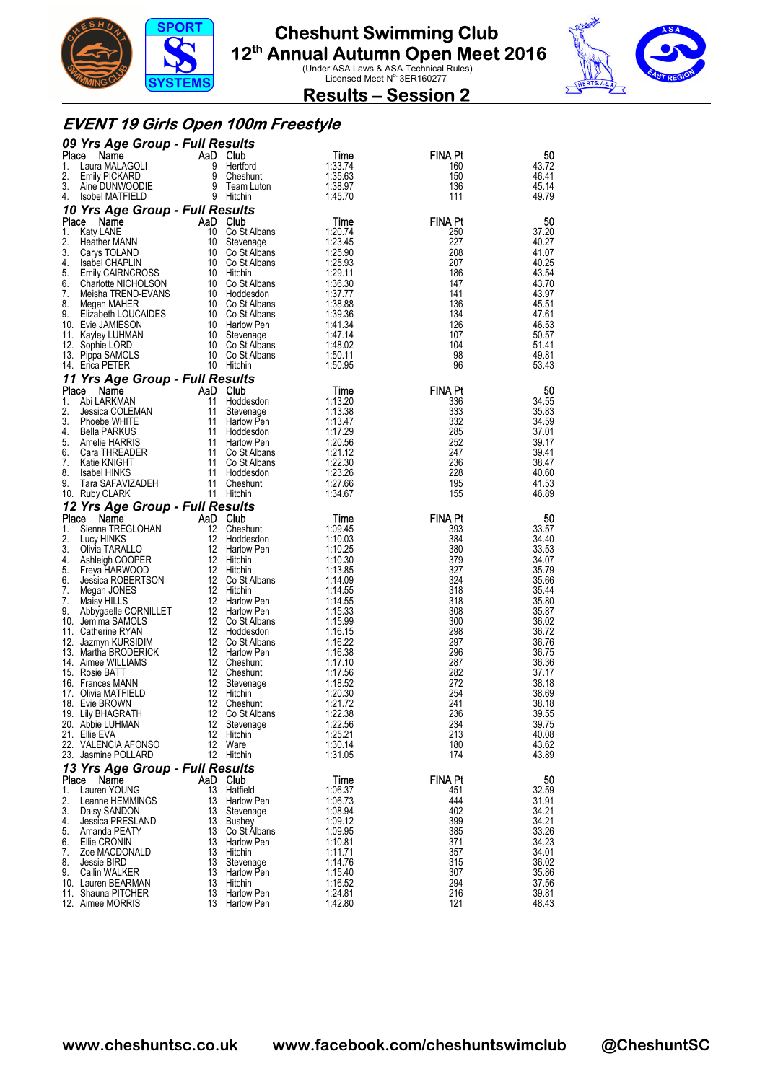



**Results – Session 2** 

#### **EVENT 19 Girls Open 100m Freestyle**

|              | 09 Yrs Age Group - Full Results          |          |                                 |                    |                |                |
|--------------|------------------------------------------|----------|---------------------------------|--------------------|----------------|----------------|
| Place        | Name                                     | AaD Club |                                 | Time               | <b>FINA Pt</b> | 50             |
| 1.<br>2.     | Laura MALAGOLI                           | 9<br>9   | Hertford                        | 1:33.74<br>1:35.63 | 160<br>150     | 43.72<br>46.41 |
| 3.           | <b>Emily PICKARD</b><br>Aine DUNWOODIE   | 9        | Cheshunt<br>Team Luton          | 1:38.97            | 136            | 45.14          |
| 4.           | <b>Isobel MATFIELD</b>                   |          | 9 Hitchin                       | 1:45.70            | 111            | 49.79          |
|              | 10 Yrs Age Group - Full Results          |          |                                 |                    |                |                |
| Place        | Name                                     | AaD Club |                                 | Time               | <b>FINA Pt</b> | 50             |
| 1.           | Katy LANE                                | 10       | Co St Albans                    | 1:20.74            | 250            | 37.20          |
| 2.           | Heather MANN                             | 10       | Stevenage                       | 1:23.45            | 227            | 40.27          |
| 3.<br>4.     | Carys TOLAND<br><b>Isabel CHAPLIN</b>    | 10       | Co St Albans<br>10 Co St Albans | 1:25.90<br>1.25.93 | 208<br>207     | 41.07<br>40.25 |
| 5.           | <b>Emily CAIRNCROSS</b>                  |          | 10 Hitchin                      | 1:29.11            | 186            | 43.54          |
| 6.           | Charlotte NICHOLSON                      |          | 10 Co St Albans                 | 1:36.30            | 147            | 43.70          |
| 7.           | Meisha TREND-EVANS                       |          | 10 Hoddesdon                    | 1.37.77            | 141            | 43.97          |
| 8.           | Megan MAHER                              |          | 10 Co St Albans                 | 1:38.88            | 136            | 45.51          |
| 9.           | Elizabeth LOUCAIDES<br>10. Evie JAMIESON |          | 10 Co St Albans                 | 1:39.36<br>1.41.34 | 134<br>126     | 47.61<br>46.53 |
|              | 11. Kayley LUHMAN                        | 10       | 10 Harlow Pen<br>Stevenage      | 1:47.14            | 107            | 50.57          |
|              | 12. Sophie LORD                          |          | 10 Co St Albans                 | 1:48.02            | 104            | 51.41          |
|              | 13. Pippa SAMOLS                         |          | 10 Co St Albans                 | 1:50.11            | 98             | 49.81          |
|              | 14. Erica PETER                          |          | 10 Hitchin                      | 1:50.95            | 96             | 53.43          |
|              | 11 Yrs Age Group - Full Results          |          |                                 |                    |                |                |
| Place        | Name                                     | AaD Club |                                 | Time               | <b>FINA Pt</b> | 50             |
| 1.<br>2.     | Abi LARKMAN<br>Jessica COLEMAN           | 11<br>11 | Hoddesdon<br>Stevenage          | 1:13.20<br>1:13.38 | 336<br>333     | 34.55<br>35.83 |
| 3.           | Phoebe WHITE                             | 11       | Harlow Pen                      | 1:13.47            | 332            | 34.59          |
| 4.           | Bella PARKUS                             | 11       | Hoddesdon                       | 1:17.29            | 285            | 37.01          |
| 5.           | Amelie HARRIS                            | 11       | Harlow Pen                      | 1:20.56            | 252            | 39.17          |
| 6.           | Cara THREADER                            | 11       | Co St Albans                    | 1:21.12            | 247            | 39.41          |
| 7.           | Katie KNIGHT                             | 11<br>11 | Co St Albans                    | 1:22.30<br>1:23.26 | 236<br>228     | 38.47          |
| 8.<br>9.     | <b>Isabel HINKS</b><br>Tara SAFAVIZADEH  | 11       | Hoddesdon<br>Cheshunt           | 1:27.66            | 195            | 40.60<br>41.53 |
|              | 10. Ruby CLARK                           |          | 11 Hitchin                      | 1:34.67            | 155            | 46.89          |
|              | 12 Yrs Age Group - Full Results          |          |                                 |                    |                |                |
| Place        | Name                                     | AaD Club |                                 | Time               | <b>FINA Pt</b> | 50             |
| 1.           | Sienna TREGLOHAN                         | 12       | Cheshunt                        | 1:09.45            | 393            | 33.57          |
| 2.<br>3.     | Lucy HINKS<br>Olivia TARALLO             | 12<br>12 | Hoddesdon<br>Harlow Pen         | 1:10.03<br>1:10.25 | 384<br>380     | 34.40<br>33.53 |
| 4.           | Ashleigh COOPER                          |          | 12 Hitchin                      | 1:10.30            | 379            | 34.07          |
| 5.           | Freya HARWOOD                            |          | 12 Hitchin                      | 1:13.85            | 327            | 35.79          |
| 6.           | Jessica ROBERTSON                        |          | 12 Co St Albans                 | 1:14.09            | 324            | 35.66          |
| 7.           | Megan JONES                              |          | 12 Hitchin                      | 1:14.55            | 318            | 35.44          |
| 7.<br>9.     | Maisy HILLS<br>Abbygaelle CORNILLET      | 12       | Harlow Pen<br>12 Harlow Pen     | 1:14.55<br>1:15.33 | 318<br>308     | 35.80<br>35.87 |
|              | 10. Jemima SAMOLS                        |          | 12 Co St Albans                 | 1:15.99            | 300            | 36.02          |
|              | 11. Catherine RYAN                       | 12       | Hoddesdon                       | 1:16.15            | 298            | 36.72          |
|              | 12. Jazmyn KURSIDIM                      |          | 12 Co St Albans                 | 1:16.22            | 297            | 36.76          |
|              | 13. Martha BRODERICK                     |          | 12 Harlow Pen                   | 1:16.38            | 296            | 36.75<br>36.36 |
|              | 14. Aimee WILLIAMS<br>15. Rosie BATT     | 12<br>12 | Cheshunt<br>Cheshunt            | 1:17.10<br>1:17.56 | 287<br>282     | 37.17          |
|              | 16. Frances MANN                         | 12       | Stevenage                       | 1:18.52            | 272            | 38.18          |
| 17.          | Olivia MATFIELD                          | 12       | Hitchin                         | 1:20.30            | 254            | 38.69          |
|              | 18. Evie BROWN                           | 12       | Cheshunt                        | 1:21.72            | 241            | 38.18          |
|              | 19. Lily BHAGRATH<br>20. Abbie LUHMAN    |          | 12 Co St Albans<br>12 Stevenage | 1:22.38<br>1:22.56 | 236<br>234     | 39.55<br>39.75 |
|              | 21. Ellie EVA                            |          | 12 Hitchin                      | 1:25.21            | 213            | 40.08          |
|              | 22. VALENCIA AFONSO                      |          | 12 Ware                         | 1:30.14            | 180            | 43.62          |
|              | 23. Jasmine POLLARD                      |          | 12 Hitchin                      | 1:31.05            | 174            | 43.89          |
|              | 13 Yrs Age Group - Full Results          |          |                                 |                    |                |                |
| <b>Place</b> | Name                                     | AaD Club |                                 | Time               | <b>FINA Pt</b> | 50             |
| 1.<br>2.     | Lauren YOUNG<br>Leanne HEMMINGS          | 13       | 13 Hatfield<br>Harlow Pen       | 1.06.37<br>1:06.73 | 451<br>444     | 32.59<br>31.91 |
| 3.           | Daisy SANDON                             | 13       | Stevenage                       | 1:08.94            | 402            | 34.21          |
| 4.           | Jessica PRESLAND                         | 13       | Bushey                          | 1:09.12            | 399            | 34.21          |
| 5.           | Amanda PEATY                             |          | 13 Co St Albans                 | 1:09.95            | 385            | 33.26          |
| 6.           | Ellie CRONIN                             |          | 13 Harlow Pen                   | 1:10.81            | 371            | 34.23          |
| 7.<br>8.     | Zoe MACDONALD<br>Jessie BIRD             | 13       | 13 Hitchin<br>Stevenage         | 1:11.71<br>1:14.76 | 357<br>315     | 34.01<br>36.02 |
| 9.           | Cailin WALKER                            | 13       | Harlow Pen                      | 1:15.40            | 307            | 35.86          |
|              | 10. Lauren BEARMAN                       |          | 13 Hitchin                      | 1:16.52            | 294            | 37.56          |
|              | 11. Shauna PITCHER                       |          | 13 Harlow Pen                   | 1:24.81            | 216            | 39.81          |
|              | 12. Aimee MORRIS                         |          | 13 Harlow Pen                   | 1:42.80            | 121            | 48.43          |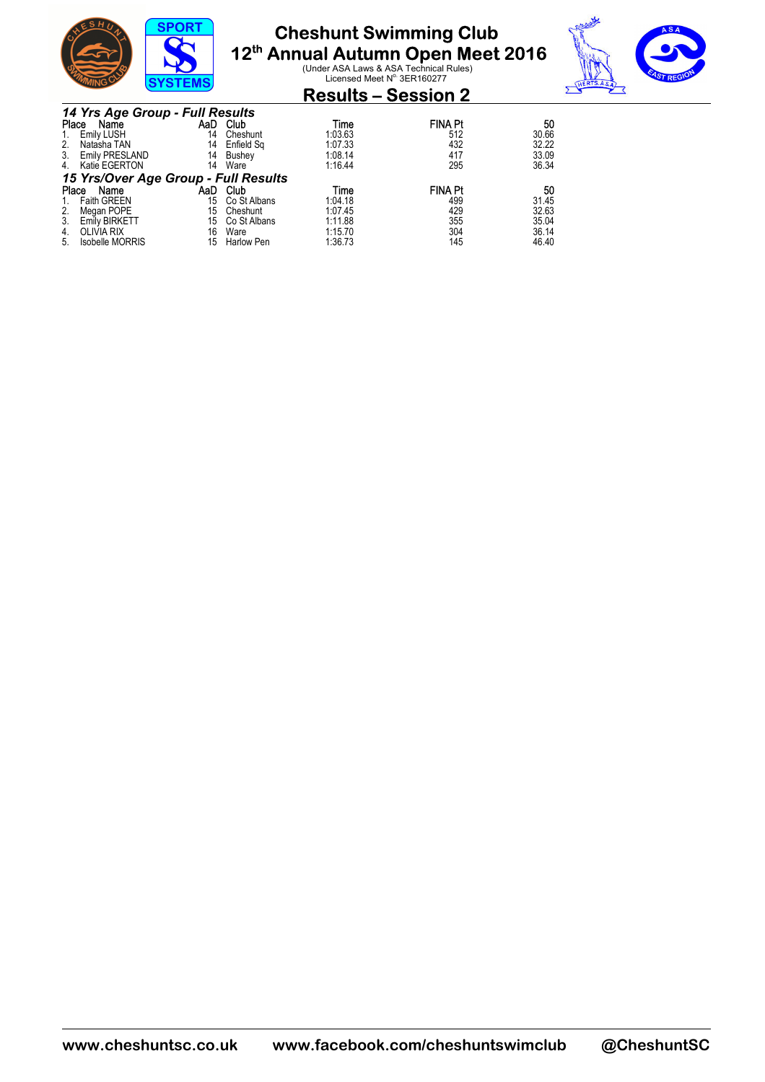

# **Cheshunt Swimming Club**

**12<sup>th</sup> Annual Autumn Open Meet 2016**<br>
Under ASA Laws & ASA Technical Rules)<br>
Licensed Meet N<sup>o</sup> 3ER160277



### **Results – Session 2**

|                                                                       | 14 Yrs Age Group - Full Results      |     |                   |         |                |       |  |  |  |
|-----------------------------------------------------------------------|--------------------------------------|-----|-------------------|---------|----------------|-------|--|--|--|
| <b>FINA Pt</b><br>Place<br><b>Club</b><br>AaD .<br>Name<br>50<br>Time |                                      |     |                   |         |                |       |  |  |  |
| 1.                                                                    | <b>Emily LUSH</b>                    | 14  | Cheshunt          | 1:03.63 | 512            | 30.66 |  |  |  |
| 2.                                                                    | Natasha TAN                          | 14  | Enfield Sq        | 1:07.33 | 432            | 32.22 |  |  |  |
| 3.                                                                    | <b>Emily PRESLAND</b>                | 14  | Bushey            | 1:08.14 | 417            | 33.09 |  |  |  |
| 4.                                                                    | Katie EGERTON                        | 14  | Ware              | 1:16.44 | 295            | 36.34 |  |  |  |
|                                                                       | 15 Yrs/Over Age Group - Full Results |     |                   |         |                |       |  |  |  |
| Place                                                                 | Name                                 | AaD | Club              | Time    | <b>FINA Pt</b> | 50    |  |  |  |
| $1_{\cdot}$                                                           | <b>Faith GREEN</b>                   | 15  | Co St Albans      | 1:04.18 | 499            | 31.45 |  |  |  |
| 2.                                                                    | Megan POPE                           | 15  | Cheshunt          | 1:07.45 | 429            | 32.63 |  |  |  |
| 3.                                                                    | Emily BIRKETT                        | 15  | Co St Albans      | 1:11.88 | 355            | 35.04 |  |  |  |
| 4.                                                                    | OLIVIA RIX                           | 16  | Ware              | 1:15.70 | 304            | 36.14 |  |  |  |
| 5.                                                                    | <b>Isobelle MORRIS</b>               | 15  | <b>Harlow Pen</b> | 1:36.73 | 145            | 46.40 |  |  |  |